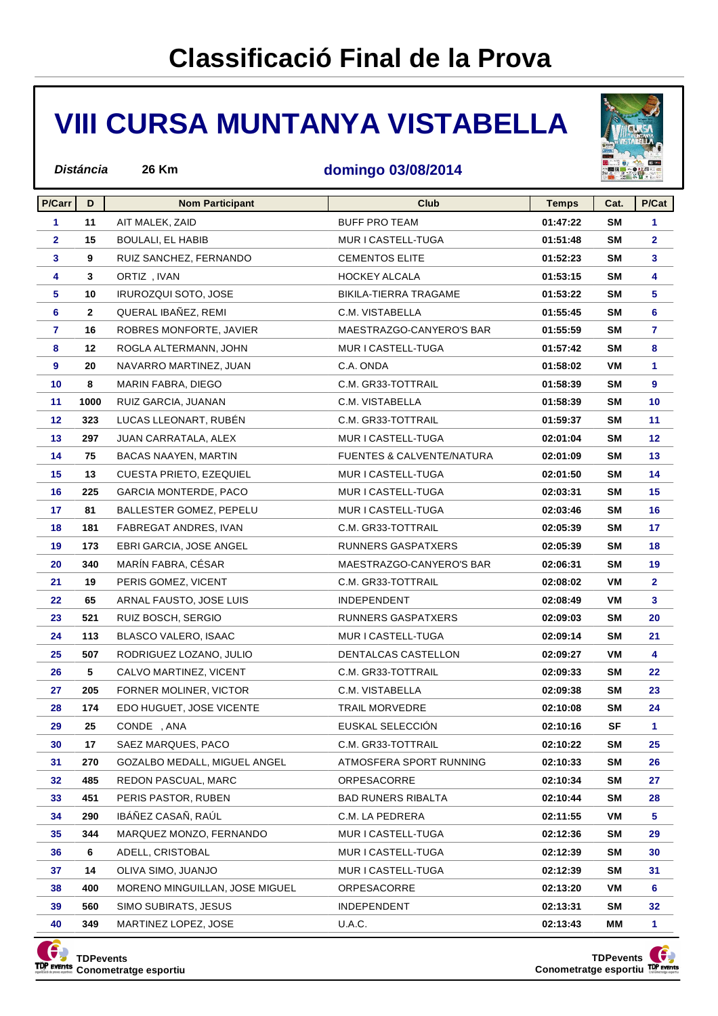# **VIII CURSA MUNTANYA VISTABELLA**



#### **domingo 03/08/2014**

| P/Carr          | D            | <b>Nom Participant</b>         | <b>Club</b>                          | <b>Temps</b> | Cat.      | P/Cat           |
|-----------------|--------------|--------------------------------|--------------------------------------|--------------|-----------|-----------------|
| $\mathbf{1}$    | 11           | AIT MALEK, ZAID                | <b>BUFF PRO TEAM</b>                 | 01:47:22     | <b>SM</b> | $\mathbf{1}$    |
| $\mathbf{2}$    | 15           | BOULALI, EL HABIB              | MUR I CASTELL-TUGA                   | 01:51:48     | <b>SM</b> | $\mathbf{2}$    |
| $\mathbf{3}$    | 9            | RUIZ SANCHEZ, FERNANDO         | <b>CEMENTOS ELITE</b>                | 01:52:23     | <b>SM</b> | 3               |
| 4               | 3            | ORTIZ, IVAN                    | HOCKEY ALCALA                        | 01:53:15     | <b>SM</b> | 4               |
| $\sqrt{5}$      | 10           | IRUROZQUI SOTO, JOSE           | BIKILA-TIERRA TRAGAME                | 01:53:22     | <b>SM</b> | 5               |
| 6               | $\mathbf{2}$ | QUERAL IBAÑEZ, REMI            | C.M. VISTABELLA                      | 01:55:45     | <b>SM</b> | 6               |
| $\mathbf{7}$    | 16           | ROBRES MONFORTE, JAVIER        | MAESTRAZGO-CANYERO'S BAR             | 01:55:59     | SM        | 7               |
| 8               | 12           | ROGLA ALTERMANN, JOHN          | MUR I CASTELL-TUGA                   | 01:57:42     | SM        | 8               |
| $\overline{9}$  | 20           | NAVARRO MARTINEZ, JUAN         | C.A. ONDA                            | 01:58:02     | VM        | 1               |
| 10 <sub>1</sub> | 8            | MARIN FABRA, DIEGO             | C.M. GR33-TOTTRAIL                   | 01:58:39     | <b>SM</b> | 9               |
| 11              | 1000         | RUIZ GARCIA, JUANAN            | C.M. VISTABELLA                      | 01:58:39     | SM        | 10              |
| 12              | 323          | LUCAS LLEONART, RUBEN          | C.M. GR33-TOTTRAIL                   | 01:59:37     | <b>SM</b> | 11              |
| 13              | 297          | JUAN CARRATALA, ALEX           | MUR I CASTELL-TUGA                   | 02:01:04     | SΜ        | 12 <sub>2</sub> |
| 14              | 75           | <b>BACAS NAAYEN, MARTIN</b>    | <b>FUENTES &amp; CALVENTE/NATURA</b> | 02:01:09     | <b>SM</b> | 13 <sub>1</sub> |
| 15 <sub>1</sub> | 13           | <b>CUESTA PRIETO, EZEQUIEL</b> | MUR I CASTELL-TUGA                   | 02:01:50     | SΜ        | 14              |
| 16              | 225          | <b>GARCIA MONTERDE, PACO</b>   | MUR I CASTELL-TUGA                   | 02:03:31     | <b>SM</b> | 15              |
| 17              | 81           | BALLESTER GOMEZ, PEPELU        | MUR I CASTELL-TUGA                   | 02:03:46     | SΜ        | 16              |
| 18              | 181          | FABREGAT ANDRES, IVAN          | C.M. GR33-TOTTRAIL                   | 02:05:39     | <b>SM</b> | 17              |
| 19              | 173          | EBRI GARCIA, JOSE ANGEL        | RUNNERS GASPATXERS                   | 02:05:39     | SΜ        | 18              |
| 20              | 340          | MARÍN FABRA, CÉSAR             | MAESTRAZGO-CANYERO'S BAR             | 02:06:31     | <b>SM</b> | 19              |
| 21              | 19           | PERIS GOMEZ, VICENT            | C.M. GR33-TOTTRAIL                   | 02:08:02     | VM        | $\mathbf{2}$    |
| 22              | 65           | ARNAL FAUSTO, JOSE LUIS        | <b>INDEPENDENT</b>                   | 02:08:49     | VM        | 3               |
| 23              | 521          | RUIZ BOSCH, SERGIO             | RUNNERS GASPATXERS                   | 02:09:03     | <b>SM</b> | 20              |
| 24              | 113          | <b>BLASCO VALERO, ISAAC</b>    | MUR I CASTELL-TUGA                   | 02:09:14     | <b>SM</b> | 21              |
| 25              | 507          | RODRIGUEZ LOZANO, JULIO        | DENTALCAS CASTELLON                  | 02:09:27     | VM        | 4               |
| 26              | 5            | CALVO MARTINEZ, VICENT         | C.M. GR33-TOTTRAIL                   | 02:09:33     | <b>SM</b> | 22              |
| 27              | 205          | FORNER MOLINER, VICTOR         | C.M. VISTABELLA                      | 02:09:38     | <b>SM</b> | 23              |
| 28              | 174          | EDO HUGUET, JOSE VICENTE       | <b>TRAIL MORVEDRE</b>                | 02:10:08     | <b>SM</b> | 24              |
| 29              | 25           | CONDE, ANA                     | EUSKAL SELECCION                     | 02:10:16     | <b>SF</b> | 1               |
| 30              | 17           | SAEZ MARQUES, PACO             | C.M. GR33-TOTTRAIL                   | 02:10:22     | <b>SM</b> | 25              |
| 31              | 270          | GOZALBO MEDALL, MIGUEL ANGEL   | ATMOSFERA SPORT RUNNING              | 02:10:33     | SΜ        | 26              |
| 32              | 485          | REDON PASCUAL, MARC            | ORPESACORRE                          | 02:10:34     | <b>SM</b> | 27              |
| 33              | 451          | PERIS PASTOR, RUBEN            | <b>BAD RUNERS RIBALTA</b>            | 02:10:44     | SM        | 28              |
| 34              | 290          | IBÁÑEZ CASAÑ, RAÚL             | C.M. LA PEDRERA                      | 02:11:55     | VM        | 5               |
| 35              | 344          | MARQUEZ MONZO, FERNANDO        | MUR I CASTELL-TUGA                   | 02:12:36     | SM        | 29              |
| 36              | 6            | ADELL, CRISTOBAL               | MUR I CASTELL-TUGA                   | 02:12:39     | SΜ        | 30              |
| 37              | 14           | OLIVA SIMO, JUANJO             | MUR I CASTELL-TUGA                   | 02:12:39     | <b>SM</b> | 31              |
| 38              | 400          | MORENO MINGUILLAN, JOSE MIGUEL | ORPESACORRE                          | 02:13:20     | VM        | 6               |
| 39              | 560          | SIMO SUBIRATS, JESUS           | <b>INDEPENDENT</b>                   | 02:13:31     | SM        | 32              |
| 40              | 349          | MARTINEZ LOPEZ, JOSE           | U.A.C.                               | 02:13:43     | MМ        | 1               |



**Distáncia 26 Km**

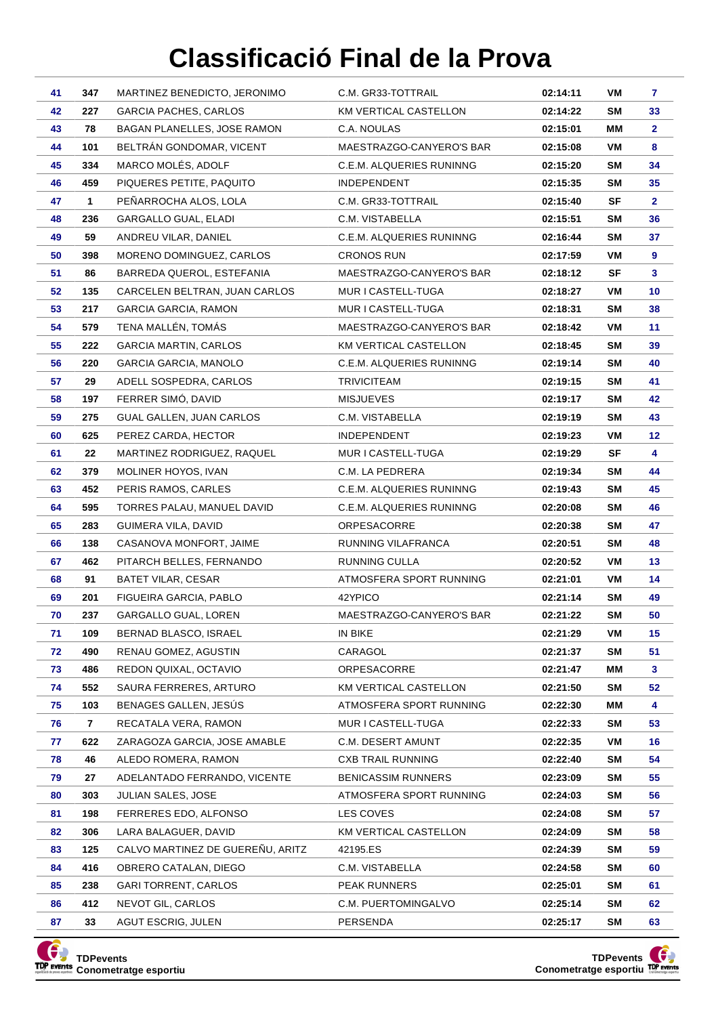| 41 | 347 | MARTINEZ BENEDICTO, JERONIMO     | C.M. GR33-TOTTRAIL                  | 02:14:11 | VM        | 7               |
|----|-----|----------------------------------|-------------------------------------|----------|-----------|-----------------|
| 42 | 227 | GARCIA PACHES, CARLOS            | KM VERTICAL CASTELLON               | 02:14:22 | SM        | 33              |
| 43 | 78  | BAGAN PLANELLES, JOSE RAMON      | C.A. NOULAS                         | 02:15:01 | ΜМ        | $\mathbf{2}$    |
| 44 | 101 | BELTRÁN GONDOMAR, VICENT         | MAESTRAZGO-CANYERO'S BAR            | 02:15:08 | VM        | 8               |
| 45 | 334 | MARCO MOLÉS, ADOLF               | C.E.M. ALQUERIES RUNINNG            | 02:15:20 | SM        | 34              |
| 46 | 459 | PIQUERES PETITE, PAQUITO         | <b>INDEPENDENT</b>                  | 02:15:35 | SM        | 35              |
| 47 | 1   | PEÑARROCHA ALOS, LOLA            | C.M. GR33-TOTTRAIL                  | 02:15:40 | SF        | $\mathbf{2}$    |
| 48 | 236 | GARGALLO GUAL, ELADI             | C.M. VISTABELLA                     | 02:15:51 | SM        | 36              |
| 49 | 59  | ANDREU VILAR, DANIEL             | C.E.M. ALQUERIES RUNINNG            | 02:16:44 | <b>SM</b> | 37              |
| 50 | 398 | MORENO DOMINGUEZ, CARLOS         | <b>CRONOS RUN</b>                   | 02:17:59 | VM        | 9               |
| 51 | 86  | BARREDA QUEROL, ESTEFANIA        | MAESTRAZGO-CANYERO'S BAR            | 02:18:12 | SF        | 3               |
| 52 | 135 | CARCELEN BELTRAN, JUAN CARLOS    | MUR I CASTELL-TUGA                  | 02:18:27 | VM        | 10              |
| 53 | 217 | <b>GARCIA GARCIA, RAMON</b>      | MUR I CASTELL-TUGA                  | 02:18:31 | SM        | 38              |
| 54 | 579 | TENA MALLÉN, TOMÁS               | MAESTRAZGO-CANYERO'S BAR            | 02:18:42 | VM        | 11              |
| 55 | 222 | <b>GARCIA MARTIN, CARLOS</b>     | KM VERTICAL CASTELLON               | 02:18:45 | SM        | 39              |
| 56 | 220 | <b>GARCIA GARCIA, MANOLO</b>     | C.E.M. ALQUERIES RUNINNG            | 02:19:14 | SM        | 40              |
| 57 | 29  | ADELL SOSPEDRA, CARLOS           | TRIVICITEAM                         | 02:19:15 | SM        | 41              |
| 58 | 197 | FERRER SIMÓ, DAVID               | <b>MISJUEVES</b>                    | 02:19:17 | SM        | 42              |
| 59 | 275 | GUAL GALLEN, JUAN CARLOS         | C.M. VISTABELLA                     | 02:19:19 | SM        | 43              |
| 60 | 625 | PEREZ CARDA, HECTOR              | <b>INDEPENDENT</b>                  | 02:19:23 | VM        | 12 <sub>2</sub> |
| 61 | 22  | MARTINEZ RODRIGUEZ, RAQUEL       | MUR I CASTELL-TUGA                  | 02:19:29 | SF        | 4               |
| 62 | 379 | MOLINER HOYOS, IVAN              | C.M. LA PEDRERA                     | 02:19:34 | SM        | 44              |
| 63 | 452 | PERIS RAMOS, CARLES              | C.E.M. ALQUERIES RUNINNG            | 02:19:43 | SM        | 45              |
| 64 | 595 | TORRES PALAU, MANUEL DAVID       | C.E.M. ALQUERIES RUNINNG            | 02:20:08 | SM        | 46              |
| 65 | 283 | GUIMERA VILA, DAVID              | <b>ORPESACORRE</b>                  | 02:20:38 | SM        | 47              |
| 66 | 138 | CASANOVA MONFORT, JAIME          | RUNNING VILAFRANCA                  | 02:20:51 | SM        | 48              |
| 67 | 462 | PITARCH BELLES, FERNANDO         | RUNNING CULLA                       | 02:20:52 | VM        | 13              |
| 68 | 91  | <b>BATET VILAR, CESAR</b>        | ATMOSFERA SPORT RUNNING             | 02:21:01 | VM        | 14              |
| 69 | 201 | FIGUEIRA GARCIA, PABLO           | 42YPICO                             | 02:21:14 | SM        | 49              |
| 70 | 237 | GARGALLO GUAL, LOREN             | MAESTRAZGO-CANYERO'S BAR            | 02:21:22 | SM        | 50              |
| 71 | 109 | BERNAD BLASCO, ISRAEL            | IN BIKE                             | 02:21:29 | VM        | 15              |
| 72 | 490 | RENAU GOMEZ, AGUSTIN             | CARAGOL                             | 02:21:37 | SM        | 51              |
| 73 | 486 | REDON QUIXAL, OCTAVIO            | ORPESACORRE                         | 02:21:47 | МM        | 3               |
| 74 | 552 | SAURA FERRERES, ARTURO           | KM VERTICAL CASTELLON               | 02:21:50 | SM        | 52              |
| 75 | 103 | BENAGES GALLEN, JESUS            | ATMOSFERA SPORT RUNNING             | 02:22:30 | MМ        | 4               |
| 76 | 7   | RECATALA VERA, RAMON             | MUR I CASTELL-TUGA                  | 02:22:33 | SM        | 53              |
| 77 | 622 | ZARAGOZA GARCIA, JOSE AMABLE     | C.M. DESERT AMUNT                   | 02:22:35 | VM        | 16              |
| 78 | 46  | ALEDO ROMERA, RAMON              | <b>CXB TRAIL RUNNING</b>            | 02:22:40 | SM        | 54              |
| 79 | 27  | ADELANTADO FERRANDO, VICENTE     | <b>BENICASSIM RUNNERS</b>           | 02:23:09 | SM        | 55              |
| 80 | 303 | JULIAN SALES, JOSE               | ATMOSFERA SPORT RUNNING             | 02:24:03 | SM        | 56              |
| 81 | 198 | FERRERES EDO, ALFONSO            | LES COVES                           | 02:24:08 | SM        | 57              |
| 82 | 306 | LARA BALAGUER, DAVID             | KM VERTICAL CASTELLON               | 02:24:09 | SM        | 58              |
| 83 | 125 | CALVO MARTINEZ DE GUEREÑU, ARITZ | 42195.ES                            | 02:24:39 | SM        | 59              |
| 84 | 416 | OBRERO CATALAN, DIEGO            | C.M. VISTABELLA                     | 02:24:58 | SM        | 60              |
| 85 | 238 | GARI TORRENT, CARLOS             | PEAK RUNNERS<br>C.M. PUERTOMINGALVO | 02:25:01 | SM        | 61              |
| 86 | 412 | NEVOT GIL, CARLOS                |                                     | 02:25:14 | SM        | 62              |
| 87 | 33  | AGUT ESCRIG, JULEN               | PERSENDA                            | 02:25:17 | SM        | 63              |



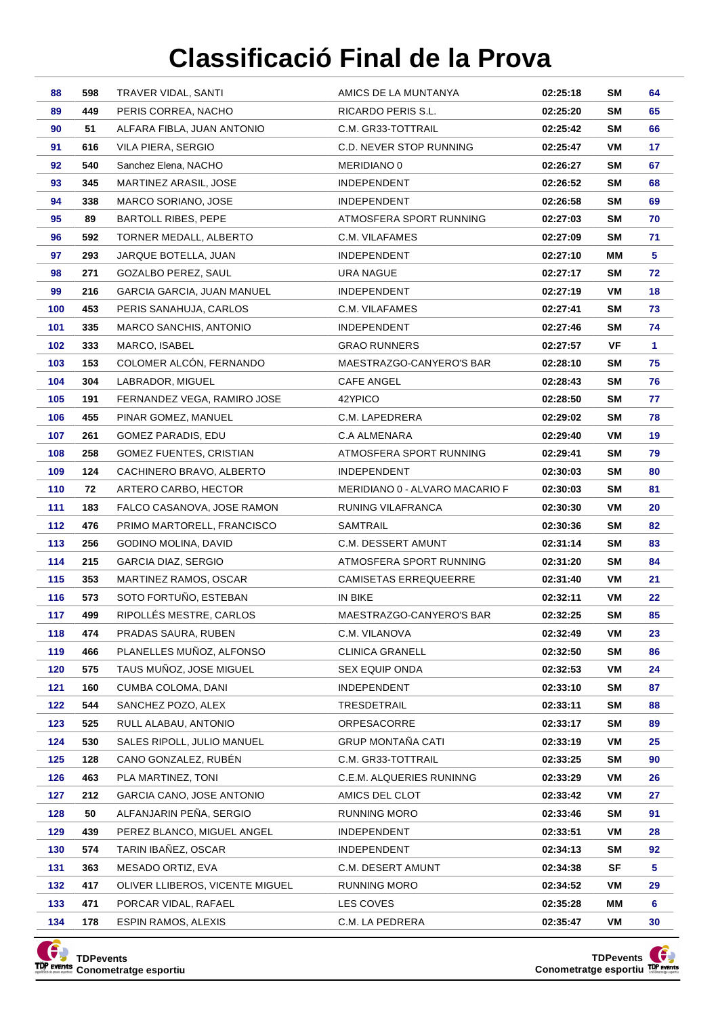| 88         | 598        | TRAVER VIDAL, SANTI                                   | AMICS DE LA MUNTANYA                           | 02:25:18             | SM        | 64          |
|------------|------------|-------------------------------------------------------|------------------------------------------------|----------------------|-----------|-------------|
| 89         | 449        | PERIS CORREA, NACHO                                   | RICARDO PERIS S.L.                             | 02:25:20             | SM        | 65          |
| 90         | 51         | ALFARA FIBLA, JUAN ANTONIO                            | C.M. GR33-TOTTRAIL                             | 02:25:42             | SM        | 66          |
| 91         | 616        | VILA PIERA, SERGIO                                    | C.D. NEVER STOP RUNNING                        | 02:25:47             | VM        | 17          |
| 92         | 540        | Sanchez Elena, NACHO                                  | MERIDIANO 0                                    | 02:26:27             | <b>SM</b> | 67          |
| 93         | 345        | MARTINEZ ARASIL, JOSE                                 | <b>INDEPENDENT</b>                             | 02:26:52             | SM        | 68          |
| 94         | 338        | MARCO SORIANO, JOSE                                   | <b>INDEPENDENT</b>                             | 02:26:58             | SM        | 69          |
| 95         | 89         | <b>BARTOLL RIBES, PEPE</b>                            | ATMOSFERA SPORT RUNNING                        | 02:27:03             | SM        | 70          |
| 96         | 592        | TORNER MEDALL, ALBERTO                                | C.M. VILAFAMES                                 | 02:27:09             | <b>SM</b> | 71          |
| 97         | 293        | JARQUE BOTELLA, JUAN                                  | INDEPENDENT                                    | 02:27:10             | ΜМ        | 5           |
| 98         | 271        | GOZALBO PEREZ, SAUL                                   | URA NAGUE                                      | 02:27:17             | SM        | 72          |
| 99         | 216        | GARCIA GARCIA, JUAN MANUEL                            | <b>INDEPENDENT</b>                             | 02:27:19             | VM        | 18          |
| 100        | 453        | PERIS SANAHUJA, CARLOS                                | C.M. VILAFAMES                                 | 02:27:41             | SM        | 73          |
| 101        | 335        | MARCO SANCHIS, ANTONIO                                | <b>INDEPENDENT</b>                             | 02:27:46             | SM        | 74          |
| 102        | 333        | MARCO, ISABEL                                         | <b>GRAO RUNNERS</b>                            | 02:27:57             | VF        | $\mathbf 1$ |
| 103        | 153        | COLOMER ALCÓN, FERNANDO                               | MAESTRAZGO-CANYERO'S BAR                       | 02:28:10             | <b>SM</b> | 75          |
| 104        | 304        | LABRADOR, MIGUEL                                      | CAFE ANGEL                                     | 02:28:43             | <b>SM</b> | 76          |
| 105        | 191        | FERNANDEZ VEGA, RAMIRO JOSE                           | 42YPICO                                        | 02:28:50             | SM        | 77          |
| 106        | 455        | PINAR GOMEZ, MANUEL                                   | C.M. LAPEDRERA                                 | 02:29:02             | SM        | 78          |
| 107        | 261        | GOMEZ PARADIS, EDU                                    | C.A ALMENARA                                   | 02:29:40             | VM        | 19          |
| 108        | 258        | GOMEZ FUENTES, CRISTIAN                               | ATMOSFERA SPORT RUNNING                        | 02:29:41             | SM        | 79          |
| 109        | 124        | CACHINERO BRAVO, ALBERTO                              | INDEPENDENT                                    | 02:30:03             | SM        | 80          |
| 110        | 72         | ARTERO CARBO, HECTOR                                  | MERIDIANO 0 - ALVARO MACARIO F                 | 02:30:03             | <b>SM</b> | 81          |
| 111        | 183        | FALCO CASANOVA, JOSE RAMON                            | RUNING VILAFRANCA                              | 02:30:30             | VM        | 20          |
| 112        | 476        | PRIMO MARTORELL, FRANCISCO                            | SAMTRAIL                                       | 02:30:36             | SM        | 82          |
| 113        | 256        | GODINO MOLINA, DAVID                                  | C.M. DESSERT AMUNT                             | 02:31:14             | <b>SM</b> | 83          |
| 114        | 215        | GARCIA DIAZ, SERGIO                                   | ATMOSFERA SPORT RUNNING                        | 02:31:20             | <b>SM</b> | 84          |
| 115        | 353        | MARTINEZ RAMOS, OSCAR                                 | <b>CAMISETAS ERREQUEERRE</b>                   | 02:31:40             | VM        | 21          |
| 116        | 573        | SOTO FORTUÑO, ESTEBAN                                 | IN BIKE                                        | 02:32:11             | VM        | 22          |
| 117        | 499        | RIPOLLÉS MESTRE, CARLOS                               | MAESTRAZGO-CANYERO'S BAR                       | 02:32:25             | SM        | 85          |
| 118        | 474        | PRADAS SAURA, RUBEN                                   | C.M. VILANOVA                                  | 02:32:49             | VM        | 23          |
| 119        | 466        | PLANELLES MUÑOZ, ALFONSO                              | <b>CLINICA GRANELL</b>                         | 02:32:50             | SM        | 86          |
| 120        | 575        | TAUS MUÑOZ, JOSE MIGUEL                               | SEX EQUIP ONDA                                 | 02:32:53             | VM        | 24          |
| 121        | 160        | CUMBA COLOMA, DANI                                    | INDEPENDENT                                    | 02:33:10             | SM        | 87          |
| 122        | 544        | SANCHEZ POZO, ALEX                                    | TRESDETRAIL                                    | 02:33:11             | SM        | 88          |
| 123        | 525        | RULL ALABAU, ANTONIO                                  | ORPESACORRE                                    | 02:33:17             | SM        | 89          |
| 124        | 530        | SALES RIPOLL, JULIO MANUEL                            | <b>GRUP MONTAÑA CATI</b><br>C.M. GR33-TOTTRAIL | 02:33:19             | VM        | 25          |
| 125        | 128        | CANO GONZALEZ, RUBÉN                                  |                                                | 02:33:25             | SM        | 90          |
| 126        | 463        | PLA MARTINEZ, TONI                                    | C.E.M. ALQUERIES RUNINNG                       | 02:33:29             | VM        | 26          |
| 127        | 212        | GARCIA CANO, JOSE ANTONIO                             | AMICS DEL CLOT                                 | 02:33:42             | VM        | 27          |
| 128<br>129 | 50         | ALFANJARIN PEÑA, SERGIO<br>PEREZ BLANCO, MIGUEL ANGEL | RUNNING MORO                                   | 02:33:46             | SM<br>VM  | 91<br>28    |
| 130        | 439<br>574 | TARIN IBAÑEZ, OSCAR                                   | <b>INDEPENDENT</b><br>INDEPENDENT              | 02:33:51<br>02:34:13 | SM        | 92          |
| 131        | 363        | MESADO ORTIZ, EVA                                     | C.M. DESERT AMUNT                              | 02:34:38             | SF        | 5           |
| 132        | 417        | OLIVER LLIBEROS, VICENTE MIGUEL                       | <b>RUNNING MORO</b>                            | 02:34:52             | VM        | 29          |
| 133        | 471        | PORCAR VIDAL, RAFAEL                                  | LES COVES                                      | 02:35:28             | MМ        | 6           |
| 134        | 178        | ESPIN RAMOS, ALEXIS                                   | C.M. LA PEDRERA                                | 02:35:47             | VM        | 30          |
|            |            |                                                       |                                                |                      |           |             |



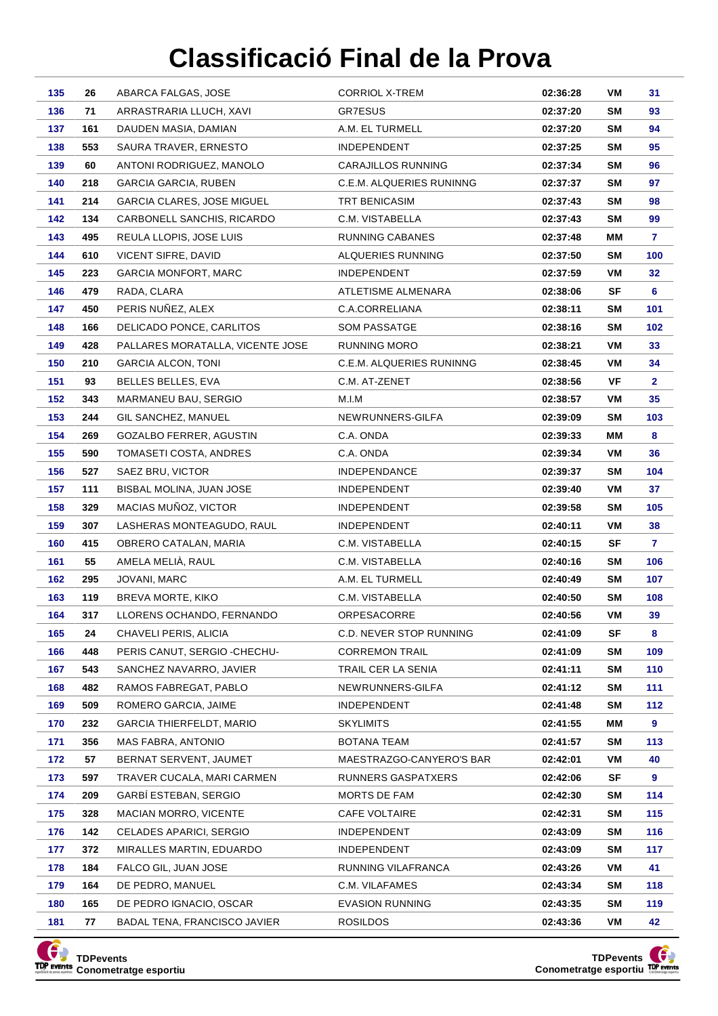| 135        | 26         | ABARCA FALGAS, JOSE                              | <b>CORRIOL X-TREM</b>                  | 02:36:28             | VM        | 31           |
|------------|------------|--------------------------------------------------|----------------------------------------|----------------------|-----------|--------------|
| 136        | 71         | ARRASTRARIA LLUCH, XAVI                          | GR7ESUS                                | 02:37:20             | SΜ        | 93           |
| 137        | 161        | DAUDEN MASIA, DAMIAN                             | A.M. EL TURMELL                        | 02:37:20             | SM        | 94           |
| 138        | 553        | SAURA TRAVER, ERNESTO                            | <b>INDEPENDENT</b>                     | 02:37:25             | SM        | 95           |
| 139        | 60         | ANTONI RODRIGUEZ, MANOLO                         | CARAJILLOS RUNNING                     | 02:37:34             | SM        | 96           |
| 140        | 218        | <b>GARCIA GARCIA, RUBEN</b>                      | C.E.M. ALQUERIES RUNINNG               | 02:37:37             | SM        | 97           |
| 141        | 214        | <b>GARCIA CLARES, JOSE MIGUEL</b>                | TRT BENICASIM                          | 02:37:43             | SM        | 98           |
| 142        | 134        | CARBONELL SANCHIS, RICARDO                       | C.M. VISTABELLA                        | 02:37:43             | SM        | 99           |
| 143        | 495        | REULA LLOPIS, JOSE LUIS                          | RUNNING CABANES                        | 02:37:48             | MМ        | 7            |
| 144        | 610        | <b>VICENT SIFRE, DAVID</b>                       | ALQUERIES RUNNING                      | 02:37:50             | SM        | 100          |
| 145        | 223        | GARCIA MONFORT, MARC                             | <b>INDEPENDENT</b>                     | 02:37:59             | VM        | 32           |
| 146        | 479        | RADA, CLARA                                      | ATLETISME ALMENARA                     | 02:38:06             | SF        | 6            |
| 147        | 450        | PERIS NUÑEZ, ALEX                                | C.A.CORRELIANA                         | 02:38:11             | SM        | 101          |
| 148        | 166        | DELICADO PONCE, CARLITOS                         | SOM PASSATGE                           | 02:38:16             | SM        | 102          |
| 149        | 428        | PALLARES MORATALLA, VICENTE JOSE                 | RUNNING MORO                           | 02:38:21             | VM        | 33           |
| 150        | 210        | <b>GARCIA ALCON, TONI</b>                        | C.E.M. ALQUERIES RUNINNG               | 02:38:45             | VM        | 34           |
| 151        | 93         | BELLES BELLES, EVA                               | C.M. AT-ZENET                          | 02:38:56             | VF        | $\mathbf{2}$ |
| 152        | 343        | MARMANEU BAU, SERGIO                             | M.I.M                                  | 02:38:57             | VM        | 35           |
| 153        | 244        | GIL SANCHEZ, MANUEL                              | NEWRUNNERS-GILFA                       | 02:39:09             | <b>SM</b> | 103          |
| 154        | 269        | GOZALBO FERRER, AGUSTIN                          | C.A. ONDA                              | 02:39:33             | MМ        | 8            |
| 155        | 590        | TOMASETI COSTA, ANDRES                           | C.A. ONDA                              | 02:39:34             | VM        | 36           |
| 156        | 527        | SAEZ BRU, VICTOR                                 | <b>INDEPENDANCE</b>                    | 02:39:37             | SM        | 104          |
| 157        | 111        | BISBAL MOLINA, JUAN JOSE                         | <b>INDEPENDENT</b>                     | 02:39:40             | VM        | 37           |
| 158        | 329        | MACIAS MUÑOZ, VICTOR                             | INDEPENDENT                            | 02:39:58             | <b>SM</b> | 105          |
| 159        | 307        | LASHERAS MONTEAGUDO, RAUL                        | <b>INDEPENDENT</b>                     | 02:40:11             | VM        | 38           |
| 160        | 415        | OBRERO CATALAN, MARIA                            | C.M. VISTABELLA                        | 02:40:15             | SF        | 7            |
| 161        | 55         | AMELA MELIÀ, RAUL                                | C.M. VISTABELLA                        | 02:40:16             | <b>SM</b> | 106          |
| 162        | 295        | JOVANI, MARC                                     | A.M. EL TURMELL                        | 02:40:49             | <b>SM</b> | 107          |
| 163        | 119        | BREVA MORTE, KIKO                                | C.M. VISTABELLA                        | 02:40:50             | SM        | 108          |
| 164        | 317        | LLORENS OCHANDO, FERNANDO                        | ORPESACORRE                            | 02:40:56             | VM        | 39           |
| 165        | 24         | CHAVELI PERIS, ALICIA                            | C.D. NEVER STOP RUNNING                | 02:41:09             | <b>SF</b> | 8            |
| 166        | 448        | PERIS CANUT, SERGIO -CHECHU-                     | <b>CORREMON TRAIL</b>                  | 02:41:09             | SM        | 109          |
| 167<br>168 | 543<br>482 | SANCHEZ NAVARRO, JAVIER<br>RAMOS FABREGAT, PABLO | TRAIL CER LA SENIA<br>NEWRUNNERS-GILFA | 02:41:11<br>02:41:12 | SM<br>SM  | 110<br>111   |
| 169        | 509        | ROMERO GARCIA, JAIME                             | <b>INDEPENDENT</b>                     | 02:41:48             | SM        | 112          |
| 170        | 232        | <b>GARCIA THIERFELDT, MARIO</b>                  | <b>SKYLIMITS</b>                       | 02:41:55             | MМ        | 9            |
| 171        | 356        | MAS FABRA, ANTONIO                               | BOTANA TEAM                            | 02:41:57             | SM        | 113          |
| 172        | 57         | BERNAT SERVENT, JAUMET                           | MAESTRAZGO-CANYERO'S BAR               | 02:42:01             | VM        | 40           |
| 173        | 597        | TRAVER CUCALA, MARI CARMEN                       | RUNNERS GASPATXERS                     | 02:42:06             | SF        | 9            |
| 174        | 209        | GARBI ESTEBAN, SERGIO                            | MORTS DE FAM                           | 02:42:30             | SM        | 114          |
| 175        | 328        | MACIAN MORRO, VICENTE                            | <b>CAFE VOLTAIRE</b>                   | 02:42:31             | SM        | 115          |
| 176        | 142        | CELADES APARICI, SERGIO                          | <b>INDEPENDENT</b>                     | 02:43:09             | SM        | 116          |
| 177        | 372        | MIRALLES MARTIN, EDUARDO                         | <b>INDEPENDENT</b>                     | 02:43:09             | SM        | 117          |
| 178        | 184        | FALCO GIL, JUAN JOSE                             | RUNNING VILAFRANCA                     | 02:43:26             | VM        | 41           |
| 179        | 164        | DE PEDRO, MANUEL                                 | C.M. VILAFAMES                         | 02:43:34             | SM        | 118          |
| 180        | 165        | DE PEDRO IGNACIO, OSCAR                          | EVASION RUNNING                        | 02:43:35             | SM        | 119          |
| 181        | 77         | BADAL TENA, FRANCISCO JAVIER                     | <b>ROSILDOS</b>                        | 02:43:36             | VM        | 42           |
|            |            |                                                  |                                        |                      |           |              |



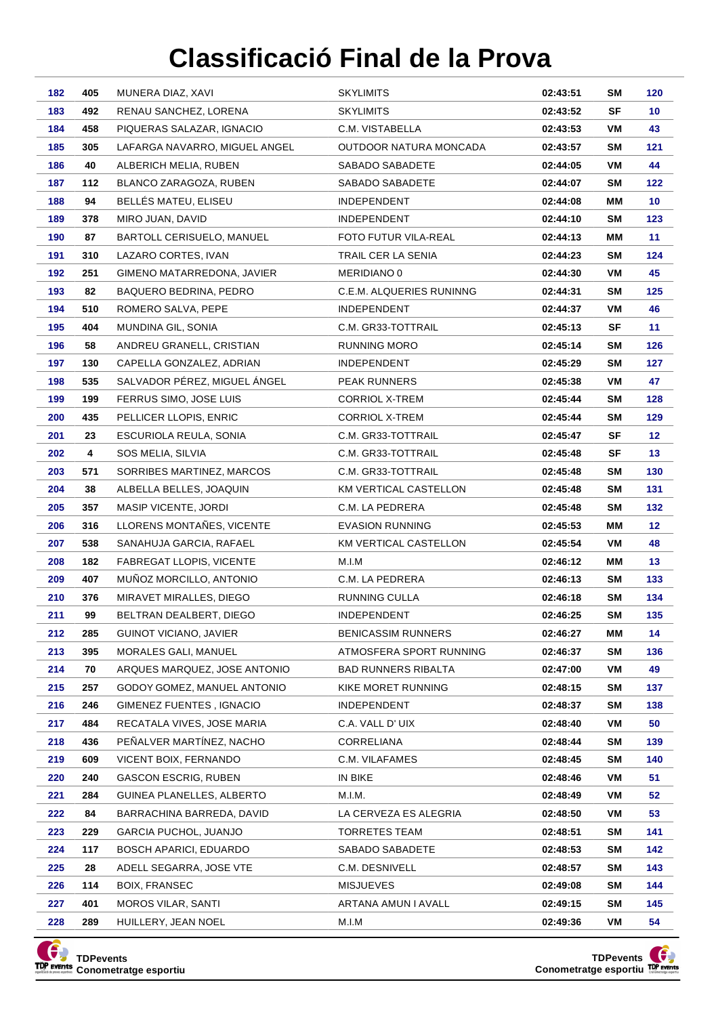| 182        | 405        | MUNERA DIAZ, XAVI                              | <b>SKYLIMITS</b>                                     | 02:43:51             | SM        | 120             |
|------------|------------|------------------------------------------------|------------------------------------------------------|----------------------|-----------|-----------------|
| 183        | 492        | RENAU SANCHEZ, LORENA                          | <b>SKYLIMITS</b>                                     | 02:43:52             | <b>SF</b> | 10              |
| 184        | 458        | PIQUERAS SALAZAR, IGNACIO                      | C.M. VISTABELLA                                      | 02:43:53             | VM        | 43              |
| 185        | 305        | LAFARGA NAVARRO, MIGUEL ANGEL                  | OUTDOOR NATURA MONCADA                               | 02:43:57             | <b>SM</b> | 121             |
| 186        | 40         | ALBERICH MELIA, RUBEN                          | SABADO SABADETE                                      | 02:44:05             | VM        | 44              |
| 187        | 112        | BLANCO ZARAGOZA, RUBEN                         | SABADO SABADETE                                      | 02:44:07             | SΜ        | 122             |
| 188        | 94         | BELLÉS MATEU, ELISEU                           | INDEPENDENT                                          | 02:44:08             | ΜМ        | 10              |
| 189        | 378        | MIRO JUAN, DAVID                               | <b>INDEPENDENT</b>                                   | 02:44:10             | <b>SM</b> | 123             |
| 190        | 87         | BARTOLL CERISUELO, MANUEL                      | <b>FOTO FUTUR VILA-REAL</b>                          | 02:44:13             | ΜМ        | 11              |
| 191        | 310        | LAZARO CORTES, IVAN                            | TRAIL CER LA SENIA                                   | 02:44:23             | <b>SM</b> | 124             |
| 192        | 251        | GIMENO MATARREDONA, JAVIER                     | MERIDIANO 0                                          | 02:44:30             | VM        | 45              |
| 193        | 82         | BAQUERO BEDRINA, PEDRO                         | C.E.M. ALQUERIES RUNINNG                             | 02:44:31             | <b>SM</b> | 125             |
| 194        | 510        | ROMERO SALVA, PEPE                             | <b>INDEPENDENT</b>                                   | 02:44:37             | VM        | 46              |
| 195        | 404        | MUNDINA GIL, SONIA                             | C.M. GR33-TOTTRAIL                                   | 02:45:13             | SF        | 11              |
| 196        | 58         | ANDREU GRANELL, CRISTIAN                       | RUNNING MORO                                         | 02:45:14             | <b>SM</b> | 126             |
| 197        | 130        | CAPELLA GONZALEZ, ADRIAN                       | <b>INDEPENDENT</b>                                   | 02:45:29             | <b>SM</b> | 127             |
| 198        | 535        | SALVADOR PÉREZ, MIGUEL ÁNGEL                   | <b>PEAK RUNNERS</b>                                  | 02:45:38             | VM        | 47              |
| 199        | 199        | FERRUS SIMO, JOSE LUIS                         | CORRIOL X-TREM                                       | 02:45:44             | <b>SM</b> | 128             |
| 200        | 435        | PELLICER LLOPIS, ENRIC                         | <b>CORRIOL X-TREM</b>                                | 02:45:44             | <b>SM</b> | 129             |
| 201        | 23         | ESCURIOLA REULA, SONIA                         | C.M. GR33-TOTTRAIL                                   | 02:45:47             | SF        | 12 <sub>2</sub> |
| 202        | 4          | SOS MELIA, SILVIA                              | C.M. GR33-TOTTRAIL                                   | 02:45:48             | SF        | 13 <sub>1</sub> |
| 203        | 571        | SORRIBES MARTINEZ, MARCOS                      | C.M. GR33-TOTTRAIL                                   | 02:45:48             | <b>SM</b> | 130             |
| 204        | 38         | ALBELLA BELLES, JOAQUIN                        | KM VERTICAL CASTELLON                                | 02:45:48             | <b>SM</b> | 131             |
| 205        | 357        | MASIP VICENTE, JORDI                           | C.M. LA PEDRERA                                      | 02:45:48             | SΜ        | 132             |
| 206        | 316        | LLORENS MONTAÑES, VICENTE                      | <b>EVASION RUNNING</b>                               | 02:45:53             | ΜМ        | 12 <sub>2</sub> |
| 207        | 538        | SANAHUJA GARCIA, RAFAEL                        | KM VERTICAL CASTELLON                                | 02:45:54             | VM        | 48              |
| 208        | 182        | FABREGAT LLOPIS, VICENTE                       | M.I.M                                                | 02:46:12             | МM        | 13              |
| 209        | 407        | MUÑOZ MORCILLO, ANTONIO                        | C.M. LA PEDRERA                                      | 02:46:13             | <b>SM</b> | 133             |
| 210        | 376        | MIRAVET MIRALLES, DIEGO                        | RUNNING CULLA                                        | 02:46:18             | <b>SM</b> | 134             |
| 211        | 99         | BELTRAN DEALBERT, DIEGO                        | <b>INDEPENDENT</b>                                   | 02:46:25             | SΜ        | 135             |
| 212        | 285<br>395 | GUINOT VICIANO, JAVIER<br>MORALES GALI, MANUEL | <b>BENICASSIM RUNNERS</b><br>ATMOSFERA SPORT RUNNING | 02:46:27             | ΜМ        | 14              |
| 213<br>214 | 70         | ARQUES MARQUEZ, JOSE ANTONIO                   | <b>BAD RUNNERS RIBALTA</b>                           | 02:46:37<br>02:47:00 | SM<br>VM  | 136<br>49       |
| 215        | 257        | GODOY GOMEZ, MANUEL ANTONIO                    | KIKE MORET RUNNING                                   | 02:48:15             | SM        | 137             |
| 216        | 246        | GIMENEZ FUENTES, IGNACIO                       | <b>INDEPENDENT</b>                                   | 02:48:37             | SM        | 138             |
| 217        | 484        | RECATALA VIVES, JOSE MARIA                     | C.A. VALL D' UIX                                     | 02:48:40             | VM        | 50              |
| 218        | 436        | PEÑALVER MARTÍNEZ, NACHO                       | CORRELIANA                                           | 02:48:44             | SM        | 139             |
| 219        | 609        | VICENT BOIX, FERNANDO                          | C.M. VILAFAMES                                       | 02:48:45             | SM        | 140             |
| 220        | 240        | GASCON ESCRIG, RUBEN                           | IN BIKE                                              | 02:48:46             | VM        | 51              |
| 221        | 284        | GUINEA PLANELLES, ALBERTO                      | M.I.M.                                               | 02:48:49             | VM        | 52              |
| 222        | 84         | BARRACHINA BARREDA, DAVID                      | LA CERVEZA ES ALEGRIA                                | 02:48:50             | VM        | 53              |
| 223        | 229        | GARCIA PUCHOL, JUANJO                          | TORRETES TEAM                                        | 02:48:51             | SM        | 141             |
| 224        | 117        | BOSCH APARICI, EDUARDO                         | SABADO SABADETE                                      | 02:48:53             | SM        | 142             |
| 225        | 28         | ADELL SEGARRA, JOSE VTE                        | C.M. DESNIVELL                                       | 02:48:57             | SM        | 143             |
| 226        | 114        | BOIX, FRANSEC                                  | <b>MISJUEVES</b>                                     | 02:49:08             | SM        | 144             |
| 227        | 401        | MOROS VILAR, SANTI                             | ARTANA AMUN I AVALL                                  | 02:49:15             | SM        | 145             |
| 228        | 289        | HUILLERY, JEAN NOEL                            | M.I.M                                                | 02:49:36             | VM        | 54              |
|            |            |                                                |                                                      |                      |           |                 |



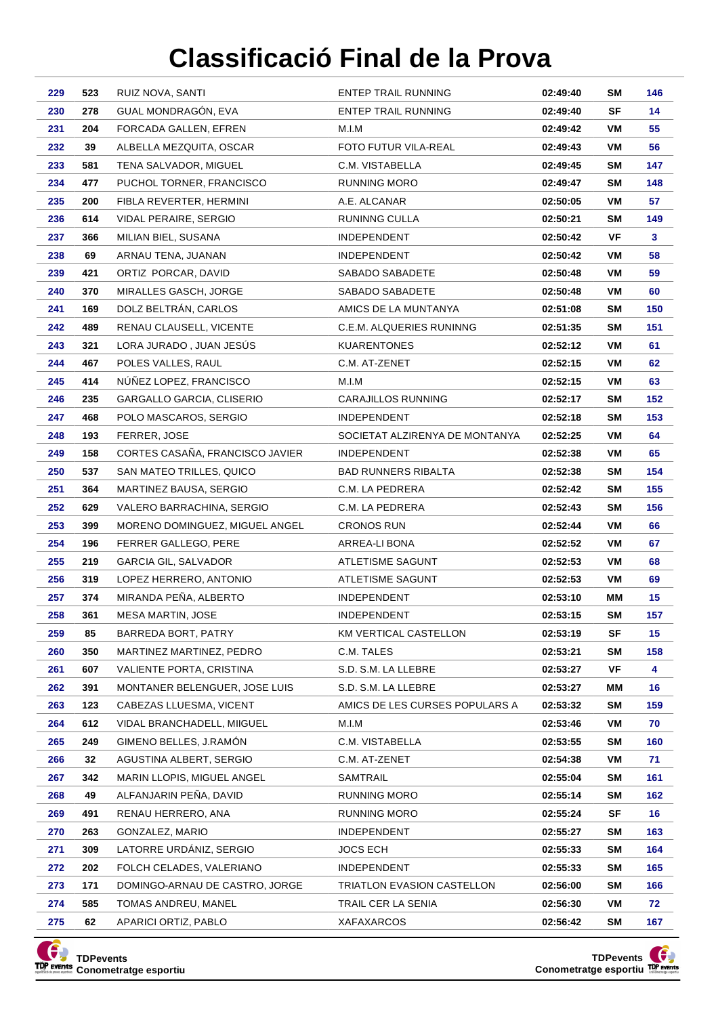| 229        | 523       | RUIZ NOVA, SANTI                                | <b>ENTEP TRAIL RUNNING</b>          | 02:49:40             | SM              | 146             |
|------------|-----------|-------------------------------------------------|-------------------------------------|----------------------|-----------------|-----------------|
| 230        | 278       | GUAL MONDRAGÓN, EVA                             | <b>ENTEP TRAIL RUNNING</b>          | 02:49:40             | <b>SF</b>       | 14              |
| 231        | 204       | FORCADA GALLEN, EFREN                           | M.I.M                               | 02:49:42             | VM              | 55              |
| 232        | 39        | ALBELLA MEZQUITA, OSCAR                         | FOTO FUTUR VILA-REAL                | 02:49:43             | VM              | 56              |
| 233        | 581       | TENA SALVADOR, MIGUEL                           | C.M. VISTABELLA                     | 02:49:45             | SΜ              | 147             |
| 234        | 477       | PUCHOL TORNER, FRANCISCO                        | <b>RUNNING MORO</b>                 | 02:49:47             | SΜ              | 148             |
| 235        | 200       | FIBLA REVERTER, HERMINI                         | A.E. ALCANAR                        | 02:50:05             | VM              | 57              |
| 236        | 614       | VIDAL PERAIRE, SERGIO                           | RUNINNG CULLA                       | 02:50:21             | <b>SM</b>       | 149             |
| 237        | 366       | MILIAN BIEL, SUSANA                             | INDEPENDENT                         | 02:50:42             | VF              | 3               |
| 238        | 69        | ARNAU TENA, JUANAN                              | <b>INDEPENDENT</b>                  | 02:50:42             | VM              | 58              |
| 239        | 421       | ORTIZ PORCAR, DAVID                             | SABADO SABADETE                     | 02:50:48             | VM              | 59              |
| 240        | 370       | MIRALLES GASCH, JORGE                           | SABADO SABADETE                     | 02:50:48             | VM              | 60              |
| 241        | 169       | DOLZ BELTRÁN, CARLOS                            | AMICS DE LA MUNTANYA                | 02:51:08             | <b>SM</b>       | 150             |
| 242        | 489       | RENAU CLAUSELL, VICENTE                         | C.E.M. ALQUERIES RUNINNG            | 02:51:35             | <b>SM</b>       | 151             |
| 243        | 321       | LORA JURADO, JUAN JESÚS                         | <b>KUARENTONES</b>                  | 02:52:12             | VM              | 61              |
| 244        | 467       | POLES VALLES, RAUL                              | C.M. AT-ZENET                       | 02:52:15             | VM              | 62              |
| 245        | 414       | NÚÑEZ LOPEZ, FRANCISCO                          | M.I.M                               | 02:52:15             | VM              | 63              |
| 246        | 235       | GARGALLO GARCIA, CLISERIO                       | CARAJILLOS RUNNING                  | 02:52:17             | <b>SM</b>       | 152             |
| 247        | 468       | POLO MASCAROS, SERGIO                           | <b>INDEPENDENT</b>                  | 02:52:18             | <b>SM</b>       | 153             |
| 248        | 193       | FERRER, JOSE                                    | SOCIETAT ALZIRENYA DE MONTANYA      | 02:52:25             | VM              | 64              |
| 249        | 158       | CORTES CASAÑA, FRANCISCO JAVIER                 | <b>INDEPENDENT</b>                  | 02:52:38             | VM              | 65              |
| 250        | 537       | SAN MATEO TRILLES, QUICO                        | <b>BAD RUNNERS RIBALTA</b>          | 02:52:38             | SΜ              | 154             |
| 251        | 364       | MARTINEZ BAUSA, SERGIO                          | C.M. LA PEDRERA                     | 02:52:42             | <b>SM</b>       | 155             |
| 252        | 629       | VALERO BARRACHINA, SERGIO                       | C.M. LA PEDRERA                     | 02:52:43             | SΜ              | 156             |
| 253        | 399       | MORENO DOMINGUEZ, MIGUEL ANGEL                  | <b>CRONOS RUN</b>                   | 02:52:44             | VM              | 66              |
| 254        | 196       | FERRER GALLEGO, PERE                            | ARREA-LI BONA                       | 02:52:52             | VM              | 67              |
| 255        | 219       | GARCIA GIL, SALVADOR                            | ATLETISME SAGUNT                    | 02:52:53             | VM              | 68              |
| 256        | 319       | LOPEZ HERRERO, ANTONIO                          | ATLETISME SAGUNT                    | 02:52:53             | VM              | 69              |
| 257        | 374       | MIRANDA PEÑA, ALBERTO                           | <b>INDEPENDENT</b>                  | 02:53:10             | ΜМ              | 15 <sub>1</sub> |
| 258        | 361       | <b>MESA MARTIN, JOSE</b>                        | <b>INDEPENDENT</b>                  | 02:53:15             | <b>SM</b>       | 157             |
| 259<br>260 | 85<br>350 | BARREDA BORT, PATRY<br>MARTINEZ MARTINEZ, PEDRO | KM VERTICAL CASTELLON<br>C.M. TALES | 02:53:19             | SF<br><b>SM</b> | 15              |
| 261        | 607       | VALIENTE PORTA, CRISTINA                        | S.D. S.M. LA LLEBRE                 | 02:53:21<br>02:53:27 | VF              | 158<br>4        |
| 262        | 391       | MONTANER BELENGUER, JOSE LUIS                   | S.D. S.M. LA LLEBRE                 | 02:53:27             | ΜМ              | 16              |
| 263        | 123       | CABEZAS LLUESMA, VICENT                         | AMICS DE LES CURSES POPULARS A      | 02:53:32             | SM              | 159             |
| 264        | 612       | VIDAL BRANCHADELL, MIIGUEL                      | M.I.M                               | 02:53:46             | VM              | 70              |
| 265        | 249       | GIMENO BELLES, J.RAMÓN                          | C.M. VISTABELLA                     | 02:53:55             | SM              | 160             |
| 266        | 32        | AGUSTINA ALBERT, SERGIO                         | C.M. AT-ZENET                       | 02:54:38             | VM              | 71              |
| 267        | 342       | MARIN LLOPIS, MIGUEL ANGEL                      | SAMTRAIL                            | 02:55:04             | SM              | 161             |
| 268        | 49        | ALFANJARIN PEÑA, DAVID                          | RUNNING MORO                        | 02:55:14             | SM              | 162             |
| 269        | 491       | RENAU HERRERO, ANA                              | RUNNING MORO                        | 02:55:24             | SF              | 16              |
| 270        | 263       | GONZALEZ, MARIO                                 | <b>INDEPENDENT</b>                  | 02:55:27             | SM              | 163             |
| 271        | 309       | LATORRE URDÁNIZ, SERGIO                         | JOCS ECH                            | 02:55:33             | SM              | 164             |
| 272        | 202       | FOLCH CELADES, VALERIANO                        | <b>INDEPENDENT</b>                  | 02:55:33             | SM              | 165             |
| 273        | 171       | DOMINGO-ARNAU DE CASTRO, JORGE                  | TRIATLON EVASION CASTELLON          | 02:56:00             | SΜ              | 166             |
| 274        | 585       | TOMAS ANDREU, MANEL                             | TRAIL CER LA SENIA                  | 02:56:30             | VM              | 72              |
| 275        | 62        | APARICI ORTIZ, PABLO                            | XAFAXARCOS                          | 02:56:42             | <b>SM</b>       | 167             |
|            |           |                                                 |                                     |                      |                 |                 |



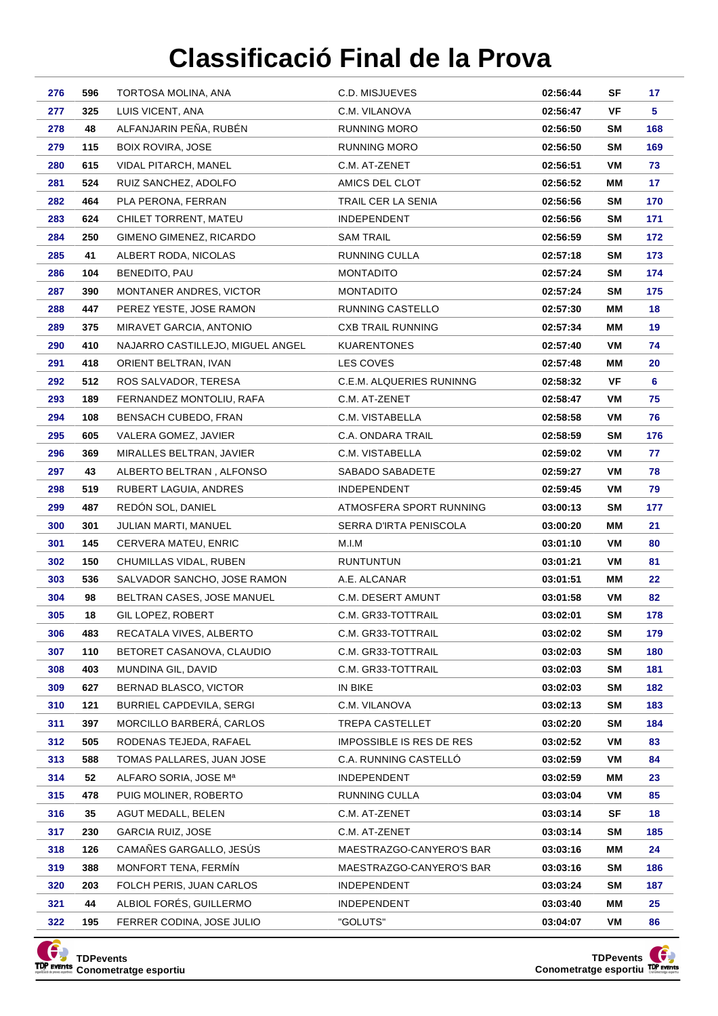| 276        | 596       | TORTOSA MOLINA, ANA                                  | C.D. MISJUEVES                  | 02:56:44             | SF        | 17       |
|------------|-----------|------------------------------------------------------|---------------------------------|----------------------|-----------|----------|
| 277        | 325       | LUIS VICENT, ANA                                     | C.M. VILANOVA                   | 02:56:47             | VF        | 5.       |
| 278        | 48        | ALFANJARIN PEÑA, RUBÉN                               | RUNNING MORO                    | 02:56:50             | SM        | 168      |
| 279        | 115       | <b>BOIX ROVIRA, JOSE</b>                             | RUNNING MORO                    | 02:56:50             | SM        | 169      |
| 280        | 615       | VIDAL PITARCH, MANEL                                 | C.M. AT-ZENET                   | 02:56:51             | VM        | 73       |
| 281        | 524       | RUIZ SANCHEZ, ADOLFO                                 | AMICS DEL CLOT                  | 02:56:52             | MМ        | 17       |
| 282        | 464       | PLA PERONA, FERRAN                                   | TRAIL CER LA SENIA              | 02:56:56             | SM        | 170      |
| 283        | 624       | CHILET TORRENT, MATEU                                | <b>INDEPENDENT</b>              | 02:56:56             | SM        | 171      |
| 284        | 250       | GIMENO GIMENEZ, RICARDO                              | SAM TRAIL                       | 02:56:59             | SM        | 172      |
| 285        | 41        | ALBERT RODA, NICOLAS                                 | RUNNING CULLA                   | 02:57:18             | SM        | 173      |
| 286        | 104       | BENEDITO, PAU                                        | <b>MONTADITO</b>                | 02:57:24             | SM        | 174      |
| 287        | 390       | <b>MONTANER ANDRES, VICTOR</b>                       | <b>MONTADITO</b>                | 02:57:24             | SM        | 175      |
| 288        | 447       | PEREZ YESTE, JOSE RAMON                              | RUNNING CASTELLO                | 02:57:30             | MМ        | 18       |
| 289        | 375       | MIRAVET GARCIA, ANTONIO                              | <b>CXB TRAIL RUNNING</b>        | 02:57:34             | ΜМ        | 19       |
| 290        | 410       | NAJARRO CASTILLEJO, MIGUEL ANGEL                     | <b>KUARENTONES</b>              | 02:57:40             | VM        | 74       |
| 291        | 418       | ORIENT BELTRAN, IVAN                                 | LES COVES                       | 02:57:48             | MМ        | 20       |
| 292        | 512       | ROS SALVADOR, TERESA                                 | C.E.M. ALQUERIES RUNINNG        | 02:58:32             | VF        | 6        |
| 293        | 189       | FERNANDEZ MONTOLIU, RAFA                             | C.M. AT-ZENET                   | 02:58:47             | VM        | 75       |
| 294        | 108       | BENSACH CUBEDO, FRAN                                 | C.M. VISTABELLA                 | 02:58:58             | VM        | 76       |
| 295        | 605       | VALERA GOMEZ, JAVIER                                 | C.A. ONDARA TRAIL               | 02:58:59             | SM        | 176      |
| 296        | 369       | MIRALLES BELTRAN, JAVIER                             | C.M. VISTABELLA                 | 02:59:02             | VM        | 77       |
| 297        | 43        | ALBERTO BELTRAN, ALFONSO                             | SABADO SABADETE                 | 02:59:27             | VM        | 78       |
| 298        | 519       | RUBERT LAGUIA, ANDRES                                | <b>INDEPENDENT</b>              | 02:59:45             | VM        | 79       |
| 299        | 487       | REDÓN SOL, DANIEL                                    | ATMOSFERA SPORT RUNNING         | 03:00:13             | <b>SM</b> | 177      |
| 300        | 301       | JULIAN MARTI, MANUEL                                 | SERRA D'IRTA PENISCOLA          | 03:00:20             | ΜМ        | 21       |
|            |           |                                                      |                                 |                      |           |          |
| 301        | 145       | CERVERA MATEU, ENRIC                                 | M.I.M                           | 03:01:10             | VM        | 80       |
| 302        | 150       | CHUMILLAS VIDAL, RUBEN                               | <b>RUNTUNTUN</b>                | 03:01:21             | VM        | 81       |
| 303        | 536       | SALVADOR SANCHO, JOSE RAMON                          | A.E. ALCANAR                    | 03:01:51             | MМ        | 22       |
| 304        | 98        | BELTRAN CASES, JOSE MANUEL                           | <b>C.M. DESERT AMUNT</b>        | 03:01:58             | VM        | 82       |
| 305        | 18        | GIL LOPEZ, ROBERT                                    | C.M. GR33-TOTTRAIL              | 03:02:01             | SM        | 178      |
| 306        | 483       | RECATALA VIVES, ALBERTO                              | C.M. GR33-TOTTRAIL              | 03:02:02             | SM        | 179      |
| 307        | 110       | BETORET CASANOVA, CLAUDIO                            | C.M. GR33-TOTTRAIL              | 03:02:03             | SM        | 180      |
| 308        | 403       | MUNDINA GIL, DAVID                                   | C.M. GR33-TOTTRAIL              | 03:02:03             | SM        | 181      |
| 309        | 627       | BERNAD BLASCO, VICTOR                                | IN BIKE                         | 03:02:03             | SM        | 182      |
| 310        | 121       | <b>BURRIEL CAPDEVILA, SERGI</b>                      | C.M. VILANOVA                   | 03:02:13             | SM        | 183      |
| 311        | 397       | MORCILLO BARBERÁ, CARLOS                             | TREPA CASTELLET                 | 03:02:20             | SM        | 184      |
| 312        | 505       | RODENAS TEJEDA, RAFAEL                               | <b>IMPOSSIBLE IS RES DE RES</b> | 03:02:52             | VM        | 83       |
| 313        | 588       | TOMAS PALLARES, JUAN JOSE                            | C.A. RUNNING CASTELLÓ           | 03:02:59             | VM        | 84       |
| 314        | 52        | ALFARO SORIA, JOSE Mª                                | INDEPENDENT                     | 03:02:59             | MМ        | 23       |
| 315        | 478       | PUIG MOLINER, ROBERTO                                | RUNNING CULLA                   | 03:03:04             | VM        | 85       |
| 316        | 35        | AGUT MEDALL, BELEN                                   | C.M. AT-ZENET                   | 03:03:14             | SF        | 18       |
| 317        | 230       | <b>GARCIA RUIZ, JOSE</b>                             | C.M. AT-ZENET                   | 03:03:14             | SM        | 185      |
| 318        | 126       | CAMAÑES GARGALLO, JESÚS                              | MAESTRAZGO-CANYERO'S BAR        | 03:03:16             | MМ        | 24       |
| 319        | 388       | MONFORT TENA, FERMIN                                 | MAESTRAZGO-CANYERO'S BAR        | 03:03:16             | SM        | 186      |
| 320        | 203       | FOLCH PERIS, JUAN CARLOS                             | <b>INDEPENDENT</b>              | 03:03:24             | SM        | 187      |
| 321<br>322 | 44<br>195 | ALBIOL FORÉS, GUILLERMO<br>FERRER CODINA, JOSE JULIO | <b>INDEPENDENT</b><br>"GOLUTS"  | 03:03:40<br>03:04:07 | MМ<br>VM  | 25<br>86 |



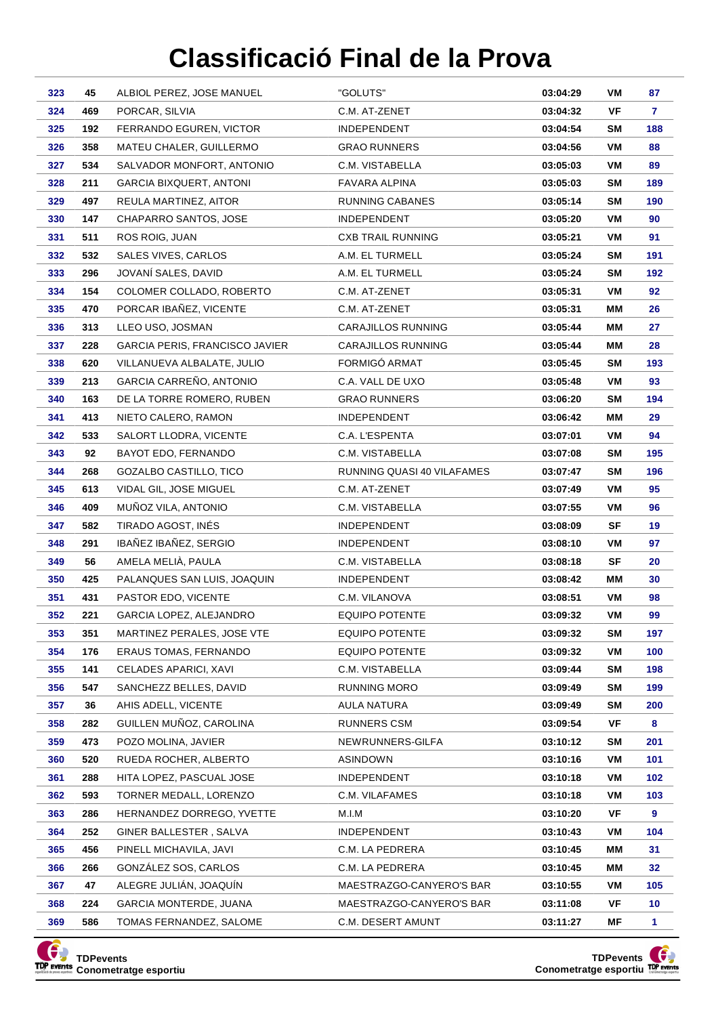| 323        | 45         | ALBIOL PEREZ, JOSE MANUEL                          | "GOLUTS"                            | 03:04:29             | VM        | 87           |
|------------|------------|----------------------------------------------------|-------------------------------------|----------------------|-----------|--------------|
| 324        | 469        | PORCAR, SILVIA                                     | C.M. AT ZENET                       | 03:04:32             | VF        | 7.           |
| 325        | 192        | FERRANDO EGUREN, VICTOR                            | <b>INDEPENDENT</b>                  | 03:04:54             | SM        | 188          |
| 326        | 358        | MATEU CHALER, GUILLERMO                            | <b>GRAO RUNNERS</b>                 | 03:04:56             | VM        | 88           |
| 327        | 534        | SALVADOR MONFORT, ANTONIO                          | C.M. VISTABELLA                     | 03:05:03             | VM        | 89           |
| 328        | 211        | GARCIA BIXQUERT, ANTONI                            | FAVARA ALPINA                       | 03:05:03             | SM        | 189          |
| 329        | 497        | REULA MARTINEZ, AITOR                              | RUNNING CABANES                     | 03:05:14             | SM        | 190          |
| 330        | 147        | CHAPARRO SANTOS, JOSE                              | <b>INDEPENDENT</b>                  | 03:05:20             | VM        | 90           |
| 331        | 511        | ROS ROIG, JUAN                                     | <b>CXB TRAIL RUNNING</b>            | 03:05:21             | VM        | 91           |
| 332        | 532        | <b>SALES VIVES, CARLOS</b>                         | A.M. EL TURMELL                     | 03:05:24             | SM        | 191          |
| 333        | 296        | JOVANÍ SALES, DAVID                                | A.M. EL TURMELL                     | 03:05:24             | SΜ        | 192          |
| 334        | 154        | COLOMER COLLADO, ROBERTO                           | C.M. AT-ZENET                       | 03:05:31             | VM        | 92           |
| 335        | 470        | PORCAR IBAÑEZ, VICENTE                             | C.M. AT-ZENET                       | 03:05:31             | MМ        | 26           |
| 336        | 313        | LLEO USO, JOSMAN                                   | <b>CARAJILLOS RUNNING</b>           | 03:05:44             | ΜМ        | 27           |
| 337        | 228        | <b>GARCIA PERIS, FRANCISCO JAVIER</b>              | CARAJILLOS RUNNING                  | 03:05:44             | MМ        | 28           |
| 338        | 620        | VILLANUEVA ALBALATE, JULIO                         | FORMIGÓ ARMAT                       | 03:05:45             | SM        | 193          |
| 339        | 213        | GARCIA CARREÑO, ANTONIO                            | C.A. VALL DE UXO                    | 03:05:48             | VM        | 93           |
| 340        | 163        | DE LA TORRE ROMERO, RUBEN                          | <b>GRAO RUNNERS</b>                 | 03:06:20             | SM        | 194          |
| 341        | 413        | NIETO CALERO, RAMON                                | <b>INDEPENDENT</b>                  | 03:06:42             | МM        | 29           |
| 342        | 533        | SALORT LLODRA, VICENTE                             | C.A. L'ESPENTA                      | 03:07:01             | VM        | 94           |
| 343        | 92         | BAYOT EDO, FERNANDO                                | C.M. VISTABELLA                     | 03:07:08             | SM        | 195          |
| 344        | 268        | GOZALBO CASTILLO, TICO                             | RUNNING QUASI 40 VILAFAMES          | 03:07:47             | SM        | 196          |
| 345        | 613        | VIDAL GIL, JOSE MIGUEL                             | C.M. AT-ZENET                       | 03:07:49             | VM        | 95           |
| 346        | 409        | MUÑOZ VILA, ANTONIO                                | C.M. VISTABELLA                     | 03:07:55             | VM        | 96           |
| 347        | 582        | TIRADO AGOST, INÉS                                 | <b>INDEPENDENT</b>                  | 03:08:09             | <b>SF</b> | 19           |
| 348        | 291        | IBAÑEZ IBAÑEZ, SERGIO                              | <b>INDEPENDENT</b>                  | 03:08:10             | VM        | 97           |
| 349        | 56         | AMELA MELIÀ, PAULA                                 | C.M. VISTABELLA                     | 03:08:18             | SF        | 20           |
| 350<br>351 | 425<br>431 | PALANQUES SAN LUIS, JOAQUIN<br>PASTOR EDO, VICENTE | <b>INDEPENDENT</b><br>C.M. VILANOVA | 03:08:42<br>03:08:51 | MМ<br>VM  | 30<br>98     |
| 352        | 221        | GARCIA LOPEZ, ALEJANDRO                            | <b>EQUIPO POTENTE</b>               | 03:09:32             | VM        | 99           |
| 353        | 351        | MARTINEZ PERALES, JOSE VTE                         | <b>EQUIPO POTENTE</b>               | 03:09:32             | <b>SM</b> | 197          |
| 354        | 176        | <b>ERAUS TOMAS, FERNANDO</b>                       | <b>EQUIPO POTENTE</b>               | 03:09:32             | VM        | 100          |
| 355        | 141        | CELADES APARICI, XAVI                              | C.M. VISTABELLA                     | 03:09:44             | <b>SM</b> | 198          |
| 356        | 547        | SANCHEZZ BELLES, DAVID                             | <b>RUNNING MORO</b>                 | 03:09:49             | SM        | 199          |
| 357        | 36         | AHIS ADELL, VICENTE                                | AULA NATURA                         | 03:09:49             | SM        | 200          |
| 358        | 282        | GUILLEN MUÑOZ, CAROLINA                            | RUNNERS CSM                         | 03:09:54             | VF        | 8            |
| 359        | 473        | POZO MOLINA, JAVIER                                | NEWRUNNERS-GILFA                    | 03:10:12             | SM        | 201          |
| 360        | 520        | RUEDA ROCHER, ALBERTO                              | ASINDOWN                            | 03:10:16             | VM        | 101          |
| 361        | 288        | HITA LOPEZ, PASCUAL JOSE                           | <b>INDEPENDENT</b>                  | 03:10:18             | VM        | 102          |
| 362        | 593        | TORNER MEDALL, LORENZO                             | C.M. VILAFAMES                      | 03:10:18             | VM        | 103          |
| 363        | 286        | HERNANDEZ DORREGO, YVETTE                          | M.I.M                               | 03:10:20             | VF        | 9            |
| 364        | 252        | GINER BALLESTER, SALVA                             | <b>INDEPENDENT</b>                  | 03:10:43             | VM        | 104          |
| 365        | 456        | PINELL MICHAVILA, JAVI                             | C.M. LA PEDRERA                     | 03:10:45             | MМ        | 31           |
| 366        | 266        | GONZÁLEZ SOS, CARLOS                               | C.M. LA PEDRERA                     | 03:10:45             | MМ        | 32           |
| 367        | 47         | ALEGRE JULIÁN, JOAQUÍN                             | MAESTRAZGO-CANYERO'S BAR            | 03:10:55             | VM        | 105          |
| 368        | 224        | <b>GARCIA MONTERDE, JUANA</b>                      | MAESTRAZGO-CANYERO'S BAR            | 03:11:08             | VF        | 10           |
| 369        | 586        | TOMAS FERNANDEZ, SALOME                            | C.M. DESERT AMUNT                   | 03:11:27             | ΜF        | $\mathbf{1}$ |



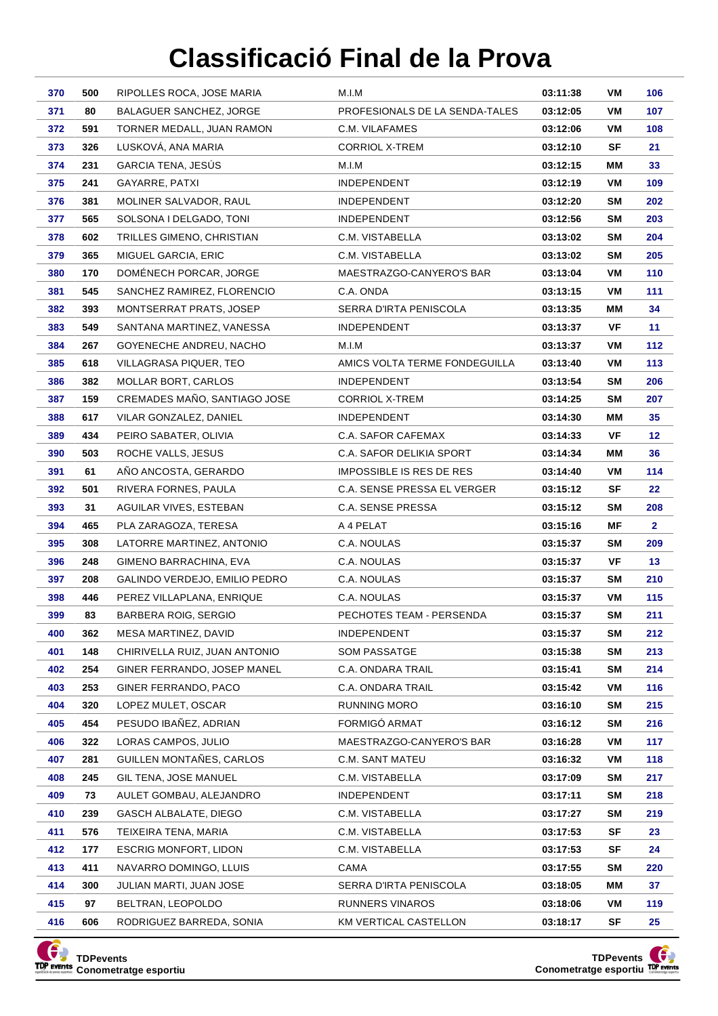| 370        | 500        | RIPOLLES ROCA, JOSE MARIA                           | M.I.M                                  | 03:11:38             | VM              | 106             |
|------------|------------|-----------------------------------------------------|----------------------------------------|----------------------|-----------------|-----------------|
| 371        | 80         | BALAGUER SANCHEZ, JORGE                             | PROFESIONALS DE LA SENDA-TALES         | 03:12:05             | VM              | 107             |
| 372        | 591        | TORNER MEDALL, JUAN RAMON                           | C.M. VILAFAMES                         | 03:12:06             | VM              | 108             |
| 373        | 326        | LUSKOVÁ, ANA MARIA                                  | CORRIOL X-TREM                         | 03:12:10             | SF              | 21              |
| 374        | 231        | <b>GARCIA TENA, JESUS</b>                           | M.I.M                                  | 03:12:15             | ΜМ              | 33              |
| 375        | 241        | GAYARRE, PATXI                                      | <b>INDEPENDENT</b>                     | 03:12:19             | VM              | 109             |
| 376        | 381        | MOLINER SALVADOR, RAUL                              | <b>INDEPENDENT</b>                     | 03:12:20             | SM              | 202             |
| 377        | 565        | SOLSONA I DELGADO, TONI                             | <b>INDEPENDENT</b>                     | 03:12:56             | SΜ              | 203             |
| 378        | 602        | TRILLES GIMENO, CHRISTIAN                           | C.M. VISTABELLA                        | 03:13:02             | SM              | 204             |
| 379        | 365        | MIGUEL GARCIA, ERIC                                 | C.M. VISTABELLA                        | 03:13:02             | SM              | 205             |
| 380        | 170        | DOMÉNECH PORCAR, JORGE                              | MAESTRAZGO-CANYERO'S BAR               | 03:13:04             | VM              | 110             |
| 381        | 545        | SANCHEZ RAMIREZ, FLORENCIO                          | C.A. ONDA                              | 03:13:15             | VM              | 111             |
| 382        | 393        | MONTSERRAT PRATS, JOSEP                             | SERRA D'IRTA PENISCOLA                 | 03:13:35             | ΜМ              | 34              |
| 383        | 549        | SANTANA MARTINEZ, VANESSA                           | <b>INDEPENDENT</b>                     | 03:13:37             | VF              | 11              |
| 384        | 267        | GOYENECHE ANDREU, NACHO                             | M.I.M                                  | 03:13:37             | VM              | 112             |
| 385        | 618        | VILLAGRASA PIQUER, TEO                              | AMICS VOLTA TERME FONDEGUILLA          | 03:13:40             | VM              | 113             |
| 386        | 382        | <b>MOLLAR BORT, CARLOS</b>                          | <b>INDEPENDENT</b>                     | 03:13:54             | SM              | 206             |
| 387        | 159        | CREMADES MAÑO, SANTIAGO JOSE                        | CORRIOL X-TREM                         | 03:14:25             | <b>SM</b>       | 207             |
| 388        | 617        | VILAR GONZALEZ, DANIEL                              | <b>INDEPENDENT</b>                     | 03:14:30             | ΜМ              | 35              |
| 389        | 434        | PEIRO SABATER, OLIVIA                               | C.A. SAFOR CAFEMAX                     | 03:14:33             | VF              | 12 <sub>2</sub> |
| 390        | 503        | ROCHE VALLS, JESUS                                  | C.A. SAFOR DELIKIA SPORT               | 03:14:34             | МM              | 36              |
| 391        | 61         | AÑO ANCOSTA, GERARDO                                | <b>IMPOSSIBLE IS RES DE RES</b>        | 03:14:40             | VM              | 114             |
| 392        | 501        | RIVERA FORNES, PAULA                                | C.A. SENSE PRESSA EL VERGER            | 03:15:12             | SF              | 22              |
| 393        | 31         | AGUILAR VIVES, ESTEBAN                              | C.A. SENSE PRESSA                      | 03:15:12             | <b>SM</b>       | 208             |
| 394        | 465        | PLA ZARAGOZA, TERESA                                | A 4 PELAT                              | 03:15:16             | ΜF              | $\mathbf{2}$    |
| 395        | 308        | LATORRE MARTINEZ, ANTONIO                           | C.A. NOULAS                            | 03:15:37             | <b>SM</b>       | 209             |
| 396        | 248        | GIMENO BARRACHINA, EVA                              | C.A. NOULAS                            | 03:15:37             | VF              | 13              |
| 397        | 208        | GALINDO VERDEJO, EMILIO PEDRO                       | C.A. NOULAS                            | 03:15:37             | <b>SM</b>       | 210             |
| 398        | 446        | PEREZ VILLAPLANA, ENRIQUE                           | C.A. NOULAS                            | 03:15:37             | VM              | 115             |
| 399        | 83         | BARBERA ROIG, SERGIO                                | PECHOTES TEAM - PERSENDA               | 03:15:37             | SΜ              | 211             |
| 400        | 362        | MESA MARTINEZ, DAVID                                | <b>INDEPENDENT</b>                     | 03:15:37             | <b>SM</b>       | 212             |
| 401        | 148        | CHIRIVELLA RUIZ, JUAN ANTONIO                       | <b>SOM PASSATGE</b>                    | 03:15:38             | SM              | 213             |
| 402<br>403 | 254<br>253 | GINER FERRANDO, JOSEP MANEL<br>GINER FERRANDO, PACO | C.A. ONDARA TRAIL<br>C.A. ONDARA TRAIL | 03:15:41             | <b>SM</b>       | 214<br>116      |
| 404        | 320        | LOPEZ MULET, OSCAR                                  | <b>RUNNING MORO</b>                    | 03:15:42             | VM              |                 |
| 405        | 454        | PESUDO IBAÑEZ, ADRIAN                               | FORMIGÓ ARMAT                          | 03:16:10             | SM<br><b>SM</b> | 215             |
|            | 322        | LORAS CAMPOS, JULIO                                 | MAESTRAZGO-CANYERO'S BAR               | 03:16:12             |                 | 216             |
| 406<br>407 | 281        | GUILLEN MONTAÑES, CARLOS                            | C.M. SANT MATEU                        | 03:16:28<br>03:16:32 | VM<br>VM        | 117<br>118      |
| 408        | 245        | <b>GIL TENA, JOSE MANUEL</b>                        | C.M. VISTABELLA                        | 03:17:09             | SM              | 217             |
| 409        | 73         | AULET GOMBAU, ALEJANDRO                             | <b>INDEPENDENT</b>                     | 03:17:11             | SM              | 218             |
| 410        | 239        | GASCH ALBALATE, DIEGO                               | C.M. VISTABELLA                        | 03:17:27             | SM              | 219             |
| 411        | 576        | TEIXEIRA TENA, MARIA                                | C.M. VISTABELLA                        | 03:17:53             | SF              | 23              |
| 412        | 177        | ESCRIG MONFORT, LIDON                               | C.M. VISTABELLA                        | 03:17:53             | SF              | 24              |
| 413        | 411        | NAVARRO DOMINGO, LLUIS                              | CAMA                                   | 03:17:55             | SM              | 220             |
| 414        | 300        | JULIAN MARTI, JUAN JOSE                             | SERRA D'IRTA PENISCOLA                 | 03:18:05             | ΜМ              | 37              |
| 415        | 97         | BELTRAN, LEOPOLDO                                   | RUNNERS VINAROS                        | 03:18:06             | VM              | 119             |
| 416        | 606        | RODRIGUEZ BARREDA, SONIA                            | KM VERTICAL CASTELLON                  | 03:18:17             | SF              | 25              |
|            |            |                                                     |                                        |                      |                 |                 |



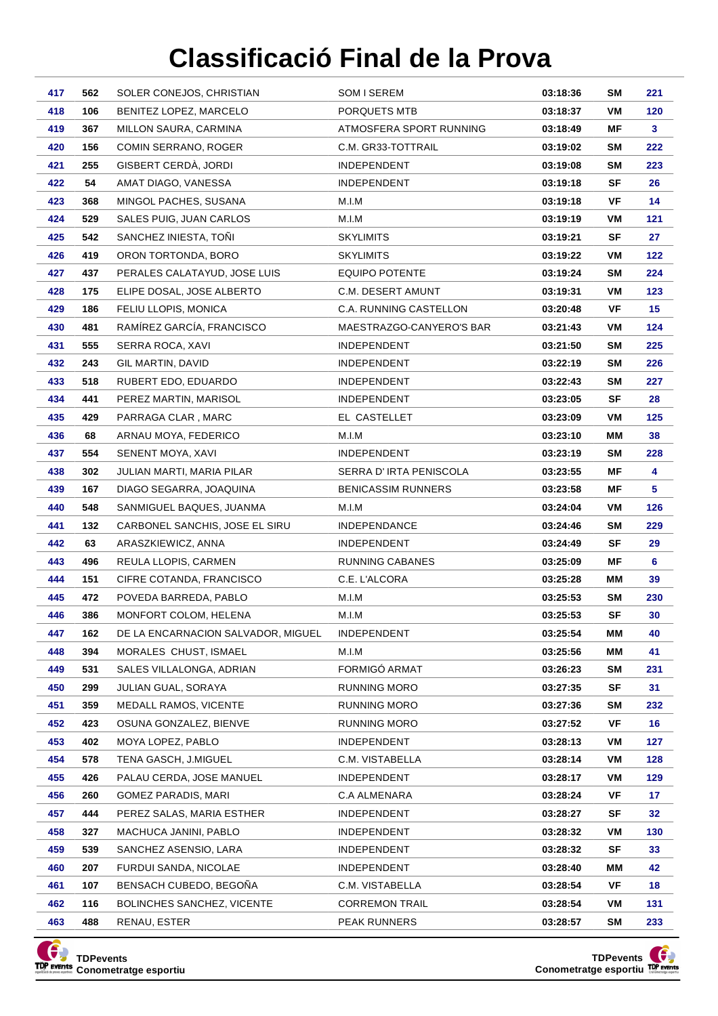| 417        | 562        | SOLER CONEJOS, CHRISTIAN                          | SOM I SEREM               | 03:18:36             | <b>SM</b>       | 221       |
|------------|------------|---------------------------------------------------|---------------------------|----------------------|-----------------|-----------|
| 418        | 106        | BENITEZ LOPEZ, MARCELO                            | PORQUETS MTB              | 03:18:37             | VM              | 120       |
| 419        | 367        | MILLON SAURA, CARMINA                             | ATMOSFERA SPORT RUNNING   | 03:18:49             | ΜF              | 3         |
| 420        | 156        | COMIN SERRANO, ROGER                              | C.M. GR33-TOTTRAIL        | 03:19:02             | SM              | 222       |
| 421        | 255        | GISBERT CERDÀ, JORDI                              | <b>INDEPENDENT</b>        | 03:19:08             | SM              | 223       |
| 422        | 54         | AMAT DIAGO, VANESSA                               | <b>INDEPENDENT</b>        | 03:19:18             | SF              | 26        |
| 423        | 368        | MINGOL PACHES, SUSANA                             | M.I.M                     | 03:19:18             | VF              | 14        |
| 424        | 529        | SALES PUIG, JUAN CARLOS                           | M.I.M                     | 03:19:19             | VM              | 121       |
| 425        | 542        | SANCHEZ INIESTA, TONI                             | <b>SKYLIMITS</b>          | 03:19:21             | SF              | 27        |
| 426        | 419        | ORON TORTONDA, BORO                               | <b>SKYLIMITS</b>          | 03:19:22             | VM              | 122       |
| 427        | 437        | PERALES CALATAYUD, JOSE LUIS                      | <b>EQUIPO POTENTE</b>     | 03:19:24             | SM              | 224       |
| 428        | 175        | ELIPE DOSAL, JOSE ALBERTO                         | C.M. DESERT AMUNT         | 03:19:31             | VM              | 123       |
| 429        | 186        | FELIU LLOPIS, MONICA                              | C.A. RUNNING CASTELLON    | 03:20:48             | VF              | 15        |
| 430        | 481        | RAMÍREZ GARCÍA, FRANCISCO                         | MAESTRAZGO-CANYERO'S BAR  | 03:21:43             | VM              | 124       |
| 431        | 555        | SERRA ROCA, XAVI                                  | <b>INDEPENDENT</b>        | 03:21:50             | SM              | 225       |
| 432        | 243        | GIL MARTIN, DAVID                                 | <b>INDEPENDENT</b>        | 03:22:19             | SM              | 226       |
| 433        | 518        | RUBERT EDO, EDUARDO                               | <b>INDEPENDENT</b>        | 03:22:43             | SM              | 227       |
| 434        | 441        | PEREZ MARTIN, MARISOL                             | <b>INDEPENDENT</b>        | 03:23:05             | SF              | 28        |
| 435        | 429        | PARRAGA CLAR, MARC                                | EL CASTELLET              | 03:23:09             | VM              | 125       |
| 436        | 68         | ARNAU MOYA, FEDERICO                              | M.I.M                     | 03:23:10             | ΜМ              | 38        |
| 437        | 554        | SENENT MOYA, XAVI                                 | <b>INDEPENDENT</b>        | 03:23:19             | <b>SM</b>       | 228       |
| 438        | 302        | JULIAN MARTI, MARIA PILAR                         | SERRA D'IRTA PENISCOLA    | 03:23:55             | ΜF              | 4         |
| 439        | 167        | DIAGO SEGARRA, JOAQUINA                           | <b>BENICASSIM RUNNERS</b> | 03:23:58             | ΜF              | 5         |
| 440        | 548        | SANMIGUEL BAQUES, JUANMA                          | M.I.M                     | 03:24:04             | VM              | 126       |
| 441        | 132        | CARBONEL SANCHIS, JOSE EL SIRU                    | <b>INDEPENDANCE</b>       | 03:24:46             | SM              | 229       |
| 442        | 63         | ARASZKIEWICZ, ANNA                                | <b>INDEPENDENT</b>        | 03:24:49             | SF              | 29        |
| 443        | 496        | REULA LLOPIS, CARMEN                              | RUNNING CABANES           | 03:25:09             | ΜF              | 6         |
| 444<br>445 | 151<br>472 | CIFRE COTANDA, FRANCISCO<br>POVEDA BARREDA, PABLO | C.E. L'ALCORA<br>M.I.M    | 03:25:28<br>03:25:53 | MМ<br><b>SM</b> | 39<br>230 |
| 446        | 386        | MONFORT COLOM, HELENA                             | M.I.M                     | 03:25:53             | <b>SF</b>       | 30        |
| 447        | 162        | DE LA ENCARNACION SALVADOR, MIGUEL                | <b>INDEPENDENT</b>        | 03:25:54             | МM              | 40        |
| 448        | 394        | MORALES CHUST, ISMAEL                             | M.I.M                     | 03:25:56             | MМ              | 41        |
| 449        | 531        | SALES VILLALONGA, ADRIAN                          | FORMIGÓ ARMAT             | 03:26:23             | <b>SM</b>       | 231       |
| 450        | 299        | JULIAN GUAL, SORAYA                               | <b>RUNNING MORO</b>       | 03:27:35             | SF              | 31        |
| 451        | 359        | MEDALL RAMOS, VICENTE                             | RUNNING MORO              | 03:27:36             | SM              | 232       |
| 452        | 423        | OSUNA GONZALEZ, BIENVE                            | RUNNING MORO              | 03:27:52             | VF              | 16        |
| 453        | 402        | MOYA LOPEZ, PABLO                                 | <b>INDEPENDENT</b>        | 03:28:13             | VM              | 127       |
| 454        | 578        | TENA GASCH, J.MIGUEL                              | C.M. VISTABELLA           | 03:28:14             | VM              | 128       |
| 455        | 426        | PALAU CERDA, JOSE MANUEL                          | <b>INDEPENDENT</b>        | 03:28:17             | VM              | 129       |
| 456        | 260        | GOMEZ PARADIS, MARI                               | C.A ALMENARA              | 03:28:24             | VF              | 17        |
| 457        | 444        | PEREZ SALAS, MARIA ESTHER                         | INDEPENDENT               | 03:28:27             | SF              | 32        |
| 458        | 327        | MACHUCA JANINI, PABLO                             | <b>INDEPENDENT</b>        | 03:28:32             | VM              | 130       |
| 459        | 539        | SANCHEZ ASENSIO, LARA                             | <b>INDEPENDENT</b>        | 03:28:32             | SF              | 33        |
| 460        | 207        | FURDUI SANDA, NICOLAE                             | <b>INDEPENDENT</b>        | 03:28:40             | MМ              | 42        |
| 461        | 107        | BENSACH CUBEDO, BEGONA                            | C.M. VISTABELLA           | 03:28:54             | VF              | 18        |
| 462        | 116        | <b>BOLINCHES SANCHEZ, VICENTE</b>                 | <b>CORREMON TRAIL</b>     | 03:28:54             | VM              | 131       |
| 463        | 488        | RENAU, ESTER                                      | PEAK RUNNERS              | 03:28:57             | SM              | 233       |



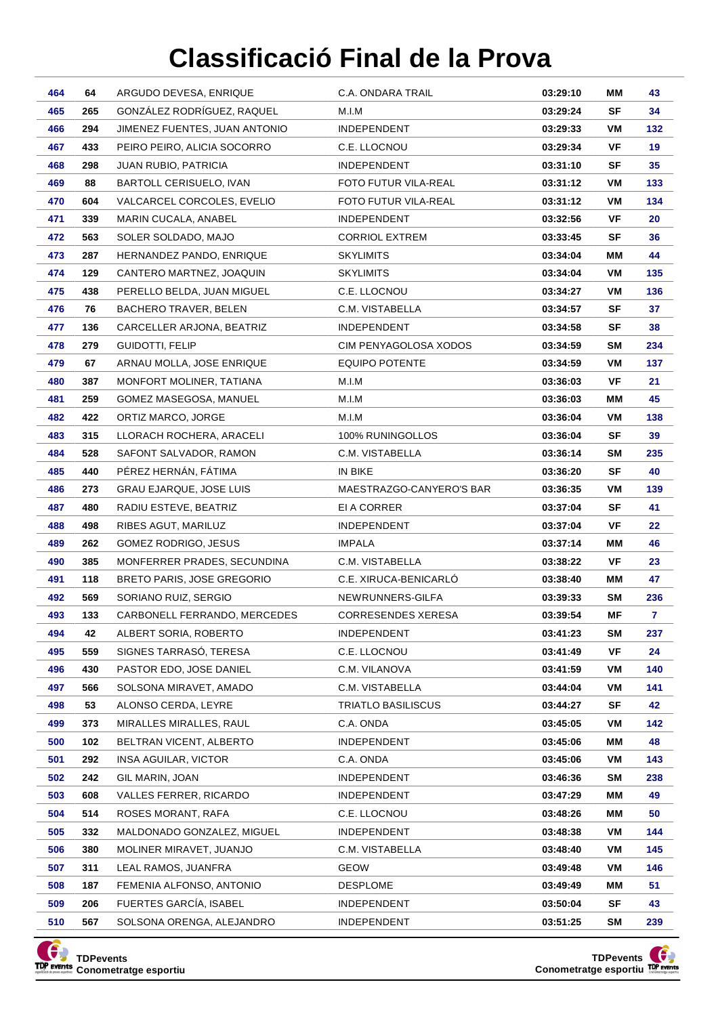| 464        | 64         | ARGUDO DEVESA, ENRIQUE                         | C.A. ONDARA TRAIL                     | 03:29:10             | ΜМ        | 43        |
|------------|------------|------------------------------------------------|---------------------------------------|----------------------|-----------|-----------|
| 465        | 265        | GONZÁLEZ RODRÍGUEZ, RAQUEL                     | M.I.M                                 | 03:29:24             | <b>SF</b> | 34        |
| 466        | 294        | JIMENEZ FUENTES, JUAN ANTONIO                  | INDEPENDENT                           | 03:29:33             | VM        | 132       |
| 467        | 433        | PEIRO PEIRO, ALICIA SOCORRO                    | C.E. LLOCNOU                          | 03:29:34             | VF        | 19        |
| 468        | 298        | JUAN RUBIO, PATRICIA                           | <b>INDEPENDENT</b>                    | 03:31:10             | SF        | 35        |
| 469        | 88         | BARTOLL CERISUELO, IVAN                        | FOTO FUTUR VILA-REAL                  | 03:31:12             | VM        | 133       |
| 470        | 604        | VALCARCEL CORCOLES, EVELIO                     | FOTO FUTUR VILA-REAL                  | 03:31:12             | VM        | 134       |
| 471        | 339        | MARIN CUCALA, ANABEL                           | <b>INDEPENDENT</b>                    | 03:32:56             | VF        | 20        |
| 472        | 563        | SOLER SOLDADO, MAJO                            | <b>CORRIOL EXTREM</b>                 | 03:33:45             | SF        | 36        |
| 473        | 287        | HERNANDEZ PANDO, ENRIQUE                       | <b>SKYLIMITS</b>                      | 03:34:04             | ΜМ        | 44        |
| 474        | 129        | CANTERO MARTNEZ, JOAQUIN                       | <b>SKYLIMITS</b>                      | 03:34:04             | VM        | 135       |
| 475        | 438        | PERELLO BELDA, JUAN MIGUEL                     | C.E. LLOCNOU                          | 03:34:27             | VM        | 136       |
| 476        | 76         | <b>BACHERO TRAVER, BELEN</b>                   | C.M. VISTABELLA                       | 03:34:57             | SF        | 37        |
| 477        | 136        | CARCELLER ARJONA, BEATRIZ                      | <b>INDEPENDENT</b>                    | 03:34:58             | SF        | 38        |
| 478        | 279        | GUIDOTTI, FELIP                                | CIM PENYAGOLOSA XODOS                 | 03:34:59             | <b>SM</b> | 234       |
| 479        | 67         | ARNAU MOLLA, JOSE ENRIQUE                      | <b>EQUIPO POTENTE</b>                 | 03:34:59             | VM        | 137       |
| 480        | 387        | MONFORT MOLINER, TATIANA                       | M.I.M                                 | 03:36:03             | VF        | 21        |
| 481        | 259        | GOMEZ MASEGOSA, MANUEL                         | M.I.M                                 | 03:36:03             | ΜМ        | 45        |
| 482        | 422        | ORTIZ MARCO, JORGE                             | M.I.M                                 | 03:36:04             | VM        | 138       |
| 483        | 315        | LLORACH ROCHERA, ARACELI                       | 100% RUNINGOLLOS                      | 03:36:04             | SF        | 39        |
| 484        | 528        | SAFONT SALVADOR, RAMON                         | C.M. VISTABELLA                       | 03:36:14             | SM        | 235       |
| 485        | 440        | PÉREZ HERNÁN, FÁTIMA                           | IN BIKE                               | 03:36:20             | SF        | 40        |
| 486        | 273        | GRAU EJARQUE, JOSE LUIS                        | MAESTRAZGO-CANYERO'S BAR              | 03:36:35             | VM        | 139       |
| 487        | 480        | RADIU ESTEVE, BEATRIZ                          | EI A CORRER                           | 03:37:04             | SF        | 41        |
| 488        | 498        | RIBES AGUT, MARILUZ                            | <b>INDEPENDENT</b>                    | 03:37:04             | VF        | 22        |
| 489        | 262        | GOMEZ RODRIGO, JESUS                           | <b>IMPALA</b>                         | 03:37:14             | MМ        | 46        |
| 490        | 385        | MONFERRER PRADES, SECUNDINA                    | C.M. VISTABELLA                       | 03:38:22             | VF        | 23        |
| 491        | 118        | <b>BRETO PARIS, JOSE GREGORIO</b>              | C.E. XIRUCA-BENICARLÓ                 | 03:38:40             | ΜМ        | 47        |
| 492        | 569        | SORIANO RUIZ, SERGIO                           | NEWRUNNERS-GILFA                      | 03:39:33             | SM        | 236       |
| 493        | 133        | CARBONELL FERRANDO, MERCEDES                   | CORRESENDES XERESA                    | 03:39:54             | ΜF        | 7.        |
| 494        | 42         | ALBERT SORIA, ROBERTO                          | <b>INDEPENDENT</b>                    | 03:41:23             | <b>SM</b> | 237       |
| 495        | 559        | SIGNES TARRASÓ, TERESA                         | C.E. LLOCNOU                          | 03:41:49             | VF        | 24        |
| 496        | 430        | PASTOR EDO, JOSE DANIEL                        | C.M. VILANOVA                         | 03:41:59             | VM        | 140       |
| 497<br>498 | 566<br>53  | SOLSONA MIRAVET, AMADO                         | C.M. VISTABELLA<br>TRIATLO BASILISCUS | 03:44:04             | VM<br>SF  | 141       |
|            |            | ALONSO CERDA, LEYRE<br>MIRALLES MIRALLES, RAUL |                                       | 03:44:27             |           | 42        |
| 499<br>500 | 373        | BELTRAN VICENT, ALBERTO                        | C.A. ONDA<br>INDEPENDENT              | 03:45:05<br>03:45:06 | VM<br>ΜМ  | 142<br>48 |
| 501        | 102<br>292 | INSA AGUILAR, VICTOR                           | C.A. ONDA                             | 03:45:06             | VM        | 143       |
| 502        | 242        | GIL MARIN, JOAN                                | INDEPENDENT                           | 03:46:36             | <b>SM</b> | 238       |
| 503        | 608        | VALLES FERRER, RICARDO                         | <b>INDEPENDENT</b>                    | 03:47:29             | ΜМ        | 49        |
| 504        | 514        | ROSES MORANT, RAFA                             | C.E. LLOCNOU                          | 03:48:26             | ΜМ        | 50        |
| 505        | 332        | MALDONADO GONZALEZ, MIGUEL                     | <b>INDEPENDENT</b>                    | 03:48:38             | VM        | 144       |
| 506        | 380        | MOLINER MIRAVET, JUANJO                        | C.M. VISTABELLA                       | 03:48:40             | VM        | 145       |
| 507        | 311        | LEAL RAMOS, JUANFRA                            | <b>GEOW</b>                           | 03:49:48             | VM        | 146       |
| 508        | 187        | FEMENIA ALFONSO, ANTONIO                       | DESPLOME                              | 03:49:49             | ΜМ        | 51        |
| 509        | 206        | FUERTES GARCÍA, ISABEL                         | <b>INDEPENDENT</b>                    | 03:50:04             | SF        | 43        |
| 510        | 567        | SOLSONA ORENGA, ALEJANDRO                      | <b>INDEPENDENT</b>                    | 03:51:25             | SM        | 239       |
|            |            |                                                |                                       |                      |           |           |



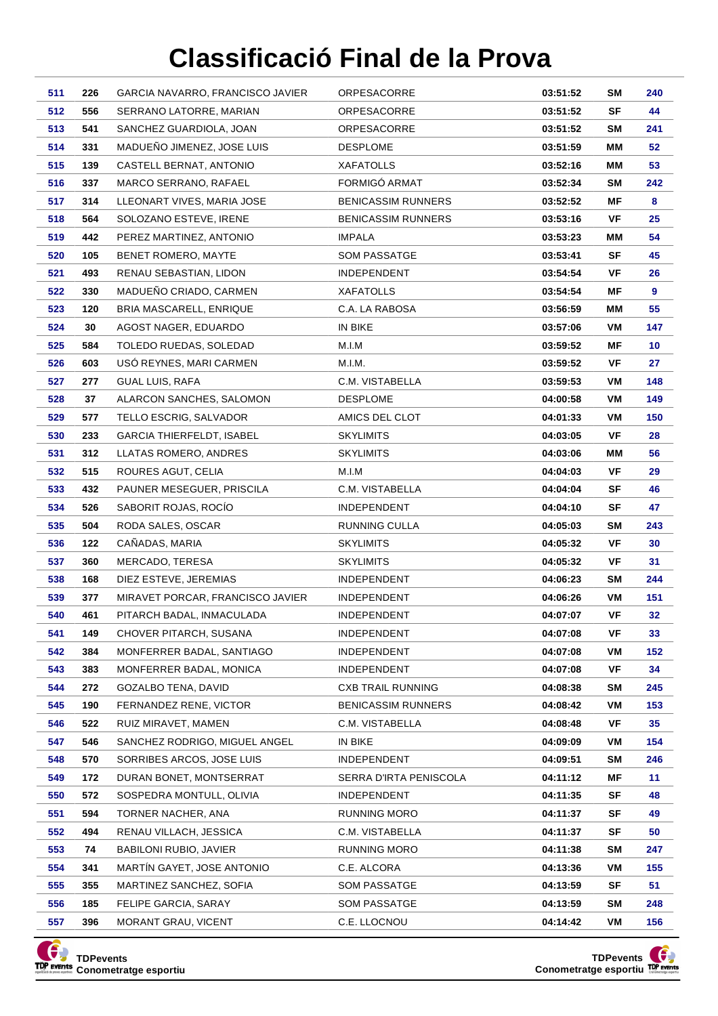| 511        | 226        | GARCIA NAVARRO, FRANCISCO JAVIER                    | ORPESACORRE                                  | 03:51:52             | SM        | 240       |
|------------|------------|-----------------------------------------------------|----------------------------------------------|----------------------|-----------|-----------|
| 512        | 556        | SERRANO LATORRE, MARIAN                             | ORPESACORRE                                  | 03:51:52             | SF        | 44        |
| 513        | 541        | SANCHEZ GUARDIOLA, JOAN                             | ORPESACORRE                                  | 03:51:52             | SM        | 241       |
| 514        | 331        | MADUEÑO JIMENEZ, JOSE LUIS                          | <b>DESPLOME</b>                              | 03:51:59             | ΜМ        | 52        |
| 515        | 139        | CASTELL BERNAT, ANTONIO                             | <b>XAFATOLLS</b>                             | 03:52:16             | ΜМ        | 53        |
| 516        | 337        | MARCO SERRANO, RAFAEL                               | FORMIGÓ ARMAT                                | 03:52:34             | SΜ        | 242       |
| 517        | 314        | LLEONART VIVES, MARIA JOSE                          | <b>BENICASSIM RUNNERS</b>                    | 03:52:52             | ΜF        | 8         |
| 518        | 564        | SOLOZANO ESTEVE, IRENE                              | <b>BENICASSIM RUNNERS</b>                    | 03:53:16             | VF        | 25        |
| 519        | 442        | PEREZ MARTINEZ, ANTONIO                             | <b>IMPALA</b>                                | 03:53:23             | ΜМ        | 54        |
| 520        | 105        | BENET ROMERO, MAYTE                                 | SOM PASSATGE                                 | 03:53:41             | SF        | 45        |
| 521        | 493        | RENAU SEBASTIAN, LIDON                              | <b>INDEPENDENT</b>                           | 03:54:54             | VF        | 26        |
| 522        | 330        | MADUEÑO CRIADO, CARMEN                              | <b>XAFATOLLS</b>                             | 03:54:54             | ΜF        | 9         |
| 523        | 120        | BRIA MASCARELL, ENRIQUE                             | C.A. LA RABOSA                               | 03:56:59             | ΜМ        | 55        |
| 524        | 30         | AGOST NAGER, EDUARDO                                | IN BIKE                                      | 03:57:06             | VM        | 147       |
| 525        | 584        | TOLEDO RUEDAS, SOLEDAD                              | M.I.M                                        | 03:59:52             | ΜF        | 10        |
| 526        | 603        | USO REYNES, MARI CARMEN                             | M.I.M.                                       | 03:59:52             | VF        | 27        |
| 527        | 277        | <b>GUAL LUIS, RAFA</b>                              | C.M. VISTABELLA                              | 03:59:53             | VM        | 148       |
| 528        | 37         | ALARCON SANCHES, SALOMON                            | <b>DESPLOME</b>                              | 04:00:58             | VM        | 149       |
| 529        | 577        | TELLO ESCRIG, SALVADOR                              | AMICS DEL CLOT                               | 04:01:33             | VM        | 150       |
| 530        | 233        | <b>GARCIA THIERFELDT, ISABEL</b>                    | <b>SKYLIMITS</b>                             | 04:03:05             | VF        | 28        |
| 531        | 312        | LLATAS ROMERO, ANDRES                               | <b>SKYLIMITS</b>                             | 04:03:06             | ΜМ        | 56        |
| 532        | 515        | ROURES AGUT, CELIA                                  | M.I.M                                        | 04:04:03             | VF        | 29        |
| 533        | 432        | PAUNER MESEGUER, PRISCILA                           | C.M. VISTABELLA                              | 04:04:04             | SF        | 46        |
| 534        | 526        | SABORIT ROJAS, ROCÍO                                | <b>INDEPENDENT</b>                           | 04:04:10             | SF        | 47        |
| 535        | 504        | RODA SALES, OSCAR                                   | RUNNING CULLA                                | 04:05:03             | <b>SM</b> | 243       |
| 536        | 122        | CAÑADAS, MARIA                                      | <b>SKYLIMITS</b>                             | 04:05:32             | VF        | 30        |
| 537        | 360        | MERCADO, TERESA                                     | <b>SKYLIMITS</b>                             | 04:05:32             | VF        | 31        |
| 538        | 168        | DIEZ ESTEVE, JEREMIAS                               | <b>INDEPENDENT</b>                           | 04:06:23             | SΜ        | 244       |
| 539        | 377        | MIRAVET PORCAR, FRANCISCO JAVIER                    | <b>INDEPENDENT</b>                           | 04:06:26             | VM        | 151       |
| 540        | 461        | PITARCH BADAL, INMACULADA                           | <b>INDEPENDENT</b>                           | 04:07:07             | VF        | 32        |
| 541        | 149        | CHOVER PITARCH, SUSANA                              | <b>INDEPENDENT</b>                           | 04:07:08             | VF        | 33        |
| 542        | 384        | MONFERRER BADAL, SANTIAGO                           | <b>INDEPENDENT</b>                           | 04:07:08             | VM        | 152       |
| 543        | 383        | MONFERRER BADAL, MONICA                             | <b>INDEPENDENT</b>                           | 04:07:08             | VF        | 34        |
| 544        | 272        | GOZALBO TENA, DAVID                                 | <b>CXB TRAIL RUNNING</b>                     | 04:08:38             | SM        | 245       |
| 545        | 190        | FERNANDEZ RENE, VICTOR<br>RUIZ MIRAVET, MAMEN       | <b>BENICASSIM RUNNERS</b><br>C.M. VISTABELLA | 04:08:42             | VM        | 153       |
| 546        | 522        |                                                     |                                              | 04:08:48             | VF        | 35<br>154 |
| 547<br>548 | 546        | SANCHEZ RODRIGO, MIGUEL ANGEL                       | IN BIKE                                      | 04:09:09             | VM        |           |
|            | 570        | SORRIBES ARCOS, JOSE LUIS                           | <b>INDEPENDENT</b>                           | 04:09:51             | SM        | 246       |
| 549<br>550 | 172<br>572 | DURAN BONET, MONTSERRAT<br>SOSPEDRA MONTULL, OLIVIA | SERRA D'IRTA PENISCOLA<br><b>INDEPENDENT</b> | 04:11:12<br>04:11:35 | ΜF<br>SF  | 11<br>48  |
| 551        | 594        | TORNER NACHER, ANA                                  | RUNNING MORO                                 | 04:11:37             | SF        | 49        |
| 552        | 494        | RENAU VILLACH, JESSICA                              | C.M. VISTABELLA                              | 04:11:37             | SF        | 50        |
| 553        | 74         | BABILONI RUBIO, JAVIER                              | RUNNING MORO                                 | 04:11:38             | SM        | 247       |
| 554        | 341        | MARTIN GAYET, JOSE ANTONIO                          | C.E. ALCORA                                  | 04:13:36             | VM        | 155       |
| 555        | 355        | MARTINEZ SANCHEZ, SOFIA                             | SOM PASSATGE                                 | 04:13:59             | SF        | 51        |
| 556        | 185        | FELIPE GARCIA, SARAY                                | <b>SOM PASSATGE</b>                          | 04:13:59             | SM        | 248       |
| 557        | 396        | MORANT GRAU, VICENT                                 | C.E. LLOCNOU                                 | 04:14:42             | VM        | 156       |
|            |            |                                                     |                                              |                      |           |           |





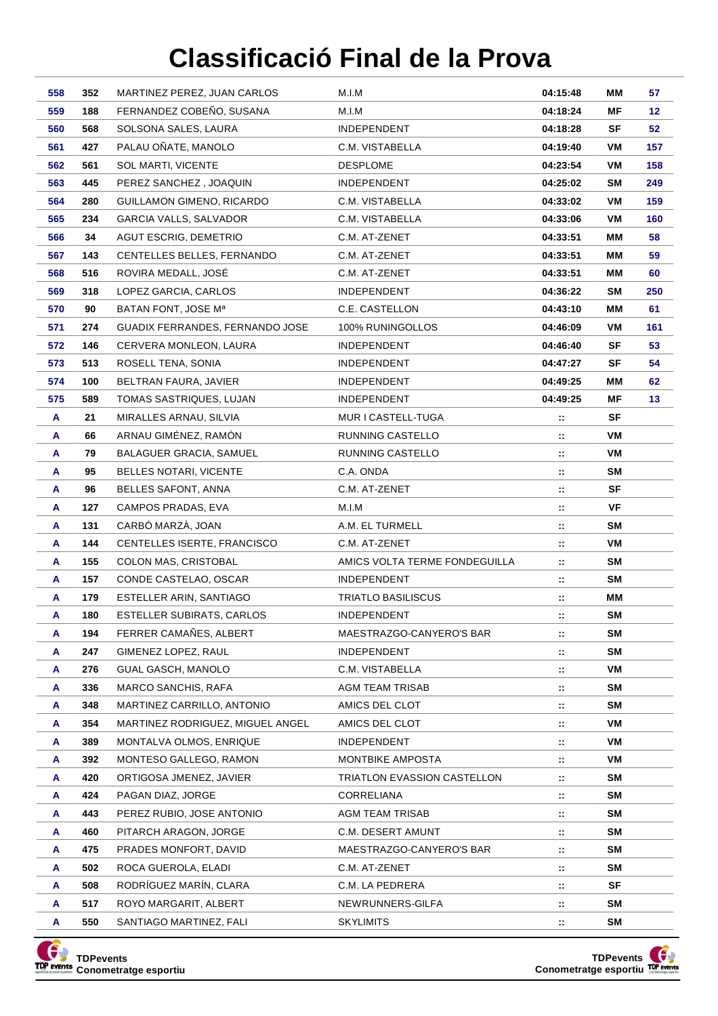| 558    | 352        | MARTINEZ PEREZ, JUAN CARLOS                       | M.I.M                           | 04:15:48       | ΜМ        | 57  |
|--------|------------|---------------------------------------------------|---------------------------------|----------------|-----------|-----|
| 559    | 188        | FERNANDEZ COBEÑO, SUSANA                          | M.I.M                           | 04:18:24       | ΜF        | 12  |
| 560    | 568        | SOLSONA SALES, LAURA                              | <b>INDEPENDENT</b>              | 04:18:28       | SF        | 52  |
| 561    | 427        | PALAU OÑATE, MANOLO                               | C.M. VISTABELLA                 | 04:19:40       | VM        | 157 |
| 562    | 561        | <b>SOL MARTI, VICENTE</b>                         | <b>DESPLOME</b>                 | 04:23:54       | VM        | 158 |
| 563    | 445        | PEREZ SANCHEZ, JOAQUIN                            | <b>INDEPENDENT</b>              | 04:25:02       | SM        | 249 |
| 564    | 280        | GUILLAMON GIMENO, RICARDO                         | C.M. VISTABELLA                 | 04:33:02       | VM        | 159 |
| 565    | 234        | GARCIA VALLS, SALVADOR                            | C.M. VISTABELLA                 | 04:33:06       | VM        | 160 |
| 566    | 34         | AGUT ESCRIG, DEMETRIO                             | C.M. AT-ZENET                   | 04:33:51       | MМ        | 58  |
| 567    | 143        | CENTELLES BELLES, FERNANDO                        | C.M. AT-ZENET                   | 04:33:51       | MМ        | 59  |
| 568    | 516        | ROVIRA MEDALL, JOSÉ                               | C.M. AT-ZENET                   | 04:33:51       | ΜМ        | 60  |
| 569    | 318        | LOPEZ GARCIA, CARLOS                              | <b>INDEPENDENT</b>              | 04:36:22       | SΜ        | 250 |
| 570    | 90         | BATAN FONT, JOSE M <sup>a</sup>                   | C.E. CASTELLON                  | 04:43:10       | ΜМ        | 61  |
| 571    | 274        | GUADIX FERRANDES, FERNANDO JOSE                   | 100% RUNINGOLLOS                | 04:46:09       | VM        | 161 |
| 572    | 146        | CERVERA MONLEON, LAURA                            | <b>INDEPENDENT</b>              | 04:46:40       | SF        | 53  |
| 573    | 513        | ROSELL TENA, SONIA                                | <b>INDEPENDENT</b>              | 04:47:27       | SF        | 54  |
| 574    | 100        | BELTRAN FAURA, JAVIER                             | <b>INDEPENDENT</b>              | 04:49:25       | MМ        | 62  |
| 575    | 589        | TOMAS SASTRIQUES, LUJAN                           | <b>INDEPENDENT</b>              | 04:49:25       | ΜF        | 13  |
| A      | 21         | MIRALLES ARNAU, SILVIA                            | MUR I CASTELL-TUGA              | π.             | SF        |     |
| A      | 66         | ARNAU GIMÉNEZ, RAMÓN                              | RUNNING CASTELLO                | и.             | VM        |     |
| A      | 79         | <b>BALAGUER GRACIA, SAMUEL</b>                    | RUNNING CASTELLO                | и.             | VM        |     |
| A      | 95         | BELLES NOTARI, VICENTE                            | C.A. ONDA                       | π.             | <b>SM</b> |     |
| A      | 96         | BELLES SAFONT, ANNA                               | C.M. AT-ZENET                   | и.             | SF        |     |
| A      | 127        | CAMPOS PRADAS, EVA                                | M.I.M                           | ∷              | VF        |     |
| A      | 131        | CARBÓ MARZÀ, JOAN                                 | A.M. EL TURMELL                 | и.             | SM        |     |
| A      | 144        | CENTELLES ISERTE, FRANCISCO                       | C.M. AT-ZENET                   | ∷              | VM        |     |
| A      | 155        | COLON MAS, CRISTOBAL                              | AMICS VOLTA TERME FONDEGUILLA   | ∷              | <b>SM</b> |     |
| A      | 157        | CONDE CASTELAO, OSCAR                             | <b>INDEPENDENT</b>              | и.             | <b>SM</b> |     |
| A      | 179        | ESTELLER ARIN, SANTIAGO                           | TRIATLO BASILISCUS              | и.             | MМ        |     |
| A      | 180        | <b>ESTELLER SUBIRATS, CARLOS</b>                  | <b>INDEPENDENT</b>              | и.             | <b>SM</b> |     |
| A      | 194        | FERRER CAMAÑES, ALBERT                            | MAESTRAZGO-CANYERO'S BAR        | $\mathbb{Z}^*$ | <b>SM</b> |     |
| A      | 247        | GIMENEZ LOPEZ, RAUL                               | <b>INDEPENDENT</b>              | и.             | <b>SM</b> |     |
| A      | 276        | <b>GUAL GASCH, MANOLO</b>                         | C.M. VISTABELLA                 | и.             | VM        |     |
| A      | 336        | <b>MARCO SANCHIS, RAFA</b>                        | AGM TEAM TRISAB                 | и.             | <b>SM</b> |     |
| A      | 348        | MARTINEZ CARRILLO, ANTONIO                        | AMICS DEL CLOT                  | $\mathbb{Z}^*$ | <b>SM</b> |     |
| A      | 354        | MARTINEZ RODRIGUEZ, MIGUEL ANGEL                  | AMICS DEL CLOT                  | и.             | VM        |     |
| A      | 389        | MONTALVA OLMOS, ENRIQUE                           | INDEPENDENT<br>MONTBIKE AMPOSTA | и.             | VM<br>VM  |     |
| A      | 392<br>420 | MONTESO GALLEGO, RAMON<br>ORTIGOSA JMENEZ, JAVIER | TRIATLON EVASSION CASTELLON     | и.             | <b>SM</b> |     |
| A<br>A | 424        | PAGAN DIAZ, JORGE                                 | CORRELIANA                      | и.<br>и.       | SM        |     |
| A      | 443        | PEREZ RUBIO, JOSE ANTONIO                         | <b>AGM TEAM TRISAB</b>          | π.             | SM        |     |
| A      | 460        | PITARCH ARAGON, JORGE                             | C.M. DESERT AMUNT               | и.             | SM        |     |
| A      | 475        | PRADES MONFORT, DAVID                             | MAESTRAZGO-CANYERO'S BAR        | ∷              | SM        |     |
| A      | 502        | ROCA GUEROLA, ELADI                               | C.M. AT-ZENET                   | ∷.             | SM        |     |
| A      | 508        | RODRÍGUEZ MARÍN, CLARA                            | C.M. LA PEDRERA                 | ∷              | SF        |     |
| A      | 517        | ROYO MARGARIT, ALBERT                             | NEWRUNNERS-GILFA                | π.             | SM        |     |
| A      | 550        | SANTIAGO MARTINEZ, FALI                           | <b>SKYLIMITS</b>                | и.             | SM        |     |
|        |            |                                                   |                                 |                |           |     |